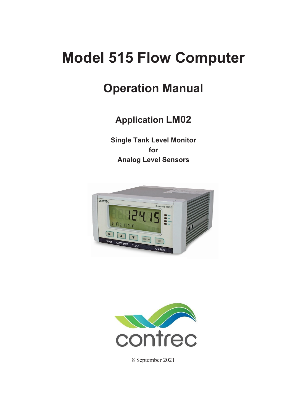# **Model 515 Flow Computer**

# **Operation Manual**

**Application LM02**

**Single Tank Level Monitor for Analog Level Sensors**





8 September 2021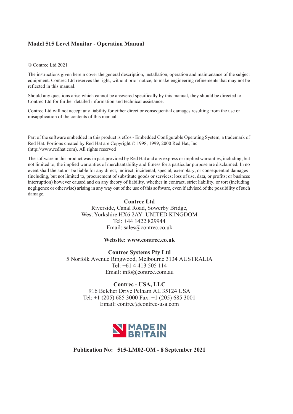#### **Model 515 Level Monitor - Operation Manual**

#### © Contrec Ltd 2021

The instructions given herein cover the general description, installation, operation and maintenance of the subject equipment. Contrec Ltd reserves the right, without prior notice, to make engineering refinements that may not be reflected in this manual.

Should any questions arise which cannot be answered specifically by this manual, they should be directed to Contrec Ltd for further detailed information and technical assistance.

Contrec Ltd will not accept any liability for either direct or consequential damages resulting from the use or misapplication of the contents of this manual.

Part of the software embedded in this product is eCos - Embedded Configurable Operating System, a trademark of Red Hat. Portions created by Red Hat are Copyright © 1998, 1999, 2000 Red Hat, Inc. (http://www.redhat.com). All rights reserved

The software in this product was in part provided by Red Hat and any express or implied warranties, including, but not limited to, the implied warranties of merchantability and fitness for a particular purpose are disclaimed. In no event shall the author be liable for any direct, indirect, incidental, special, exemplary, or consequential damages (including, but not limited to, procurement of substitute goods or services; loss of use, data, or profits; or business interruption) however caused and on any theory of liability, whether in contract, strict liability, or tort (including negligence or otherwise) arising in any way out of the use of this software, even if advised of the possibility of such damage.

#### **Contrec Ltd**

Riverside, Canal Road, Sowerby Bridge, West Yorkshire HX6 2AY UNITED KINGDOM Tel: +44 1422 829944 Email: sales@contrec.co.uk

#### **Website: www.contrec.co.uk**

**Contrec Systems Pty Ltd** 5 Norfolk Avenue Ringwood, Melbourne 3134 AUSTRALIA Tel: +61 4 413 505 114 Email: info@contrec.com.au

**Contrec - USA, LLC**

916 Belcher Drive Pelham AL 35124 USA Tel: +1 (205) 685 3000 Fax: +1 (205) 685 3001 Email: contrec@contrec-usa.com



**Publication No: 515-LM02-OM - 8 September 2021**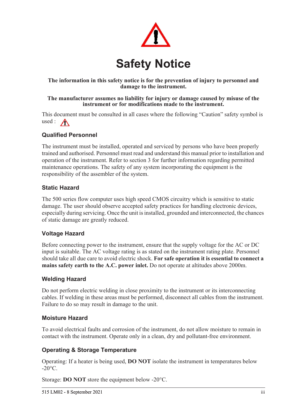

#### **The information in this safety notice is for the prevention of injury to personnel and damage to the instrument.**

#### **The manufacturer assumes no liability for injury or damage caused by misuse of the instrument or for modifications made to the instrument.**

This document must be consulted in all cases where the following "Caution" safety symbol is used :  $\bigwedge$ 

# **Qualified Personnel**

The instrument must be installed, operated and serviced by persons who have been properly trained and authorised. Personnel must read and understand this manual prior to installation and operation of the instrument. Refer to section 3 for further information regarding permitted maintenance operations. The safety of any system incorporating the equipment is the responsibility of the assembler of the system.

### **Static Hazard**

The 500 series flow computer uses high speed CMOS circuitry which is sensitive to static damage. The user should observe accepted safety practices for handling electronic devices, especially during servicing. Once the unit is installed, grounded and interconnected, the chances of static damage are greatly reduced.

## **Voltage Hazard**

Before connecting power to the instrument, ensure that the supply voltage for the AC or DC input is suitable. The AC voltage rating is as stated on the instrument rating plate. Personnel should take all due care to avoid electric shock. **For safe operation it is essential to connect a mains safety earth to the A.C. power inlet.** Do not operate at altitudes above 2000m.

#### **Welding Hazard**

Do not perform electric welding in close proximity to the instrument or its interconnecting cables. If welding in these areas must be performed, disconnect all cables from the instrument. Failure to do so may result in damage to the unit.

#### **Moisture Hazard**

To avoid electrical faults and corrosion of the instrument, do not allow moisture to remain in contact with the instrument. Operate only in a clean, dry and pollutant-free environment.

#### **Operating & Storage Temperature**

Operating: If a heater is being used, **DO NOT** isolate the instrument in temperatures below  $-20^{\circ}$ C.

Storage: **DO NOT** store the equipment below -20°C.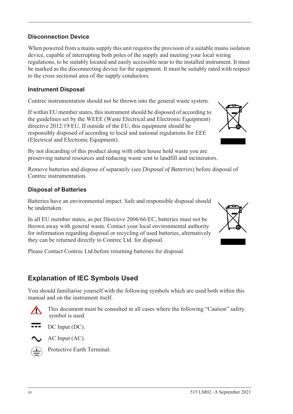## **Disconnection Device**

When powered from a mains supply this unit requires the provision of a suitable mains isolation device, capable of interrupting both poles of the supply and meeting your local wiring regulations, to be suitably located and easily accessible near to the installed instrument. It must be marked as the disconnecting device for the equipment. It must be suitably rated with respect to the cross sectional area of the supply conductors.

## **Instrument Disposal**

Contrec instrumentation should not be thrown into the general waste system.

If within EU member states, this instrument should be disposed of according to the guidelines set by the WEEE (Waste Electrical and Electronic Equipment) directive 2012/19/EU. If outside of the EU, this equipment should be responsibly disposed of according to local and national regulations for EEE (Electrical and Electronic Equipment).

By not discarding of this product along with other house hold waste you are preserving natural resources and reducing waste sent to landfill and incinerators.

Remove batteries and dispose of separately (see *Disposal of Batteries*) before disposal of Contrec instrumentation.

# **Disposal of Batteries**

Batteries have an environmental impact. Safe and responsible disposal should be undertaken.

In all EU member states, as per Directive 2006/66/EC, batteries must not be thrown away with general waste. Contact your local environmental authority for information regarding disposal or recycling of used batteries, alternatively they can be returned directly to Contrec Ltd. for disposal.

Please Contact Contrec Ltd before returning batteries for disposal.

# **Explanation of IEC Symbols Used**

You should familiarise yourself with the following symbols which are used both within this manual and on the instrument itself.

 This document must be consulted in all cases where the following "Caution" safety symbol is used.





╱╲

Protective Earth Terminal.



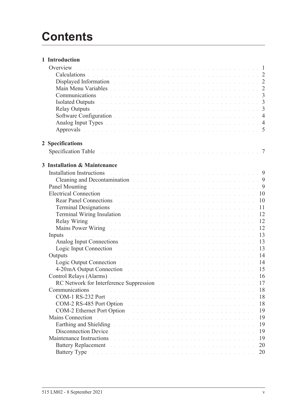| 1 Introduction                                                                                                                                                                                                                            |  |
|-------------------------------------------------------------------------------------------------------------------------------------------------------------------------------------------------------------------------------------------|--|
|                                                                                                                                                                                                                                           |  |
| Calculations de la communication de la communication de la communication de la communication de la communication                                                                                                                          |  |
| Displayed Information and the contract of the contract of the contract of the contract of the 2                                                                                                                                           |  |
| Main Menu Variables and a contract the contract of the contract of the contract of the contract of the contract of the contract of the contract of the contract of the contract of the contract of the contract of the contrac            |  |
| Communications de la communication de la communication de la communication de la communication de la communication de la communication de la communication de la communication de la communication de la communication de la c            |  |
| Isolated Outputs and a contract the contract of the contract of the contract of the S                                                                                                                                                     |  |
| Relay Outputs And All and All and All and All and All and All and All and All and All and All and All and All                                                                                                                             |  |
|                                                                                                                                                                                                                                           |  |
|                                                                                                                                                                                                                                           |  |
| Approvals des de la conservación de la conservación de la conservación de 5                                                                                                                                                               |  |
| 2 Specifications                                                                                                                                                                                                                          |  |
|                                                                                                                                                                                                                                           |  |
| 3 Installation & Maintenance                                                                                                                                                                                                              |  |
| <b>Installation Instructions</b>                                                                                                                                                                                                          |  |
| Cleaning and Decontamination and a substitution of the contract of the state of the state of the Second Second Second Second Second Second Second Second Second Second Second Second Second Second Second Second Second Second            |  |
| Panel Mounting research and contract the contract of the contract of the contract of the P                                                                                                                                                |  |
| Electrical Connection and a constant of the contract of the contract of the contract of the contract of the contract of the contract of the contract of the contract of the contract of the contract of the contract of the co            |  |
| 10<br>Rear Panel Connections and the contract of the contract of the contract of the contract of the contract of the                                                                                                                      |  |
| 11<br>Terminal Designations and a contract the contract of the contract of the contract of the contract of the contract of the contract of the contract of the contract of the contract of the contract of the contract of the contr      |  |
| 12<br>Terminal Wiring Insulation and a contract the contract of the contract of the contract of the contract of the contract of the contract of the contract of the contract of the contract of the contract of the contract of the       |  |
| 12<br>Relay Wiring <b>Experience Communication</b> Contract Communication of the Relay of the Communication of the Communication of the Communication of the Communication of the Communication of the Communication of the Communication |  |
| Mains Power Wiring Address and Address and Address and Address and Address and Address and Address and Address and Address and Address and Address and Address and Address and Address and Address and Address and Address and<br>12      |  |
| 13<br>.<br>In the second complete service of the second complete service services and complete services and complete services<br>Inputs                                                                                                   |  |
| 13<br>Analog Input Connections and a contract the contract of the contract of the contract of the contract of the contract of the contract of the contract of the contract of the contract of the contract of the contract of the co      |  |
| 13<br>Logic Input Connection and a construction of the contract of the contract of the contract of the contract of the contract of the contract of the contract of the contract of the contract of the contract of the contract of t      |  |
| 14<br>Outputs<br>a constitución de la característica de la característica de la característica de la característica de la carac                                                                                                           |  |
| 14<br>Logic Output Connection and a construction of the contract of the contract of the contract of the contract of the contract of the contract of the contract of the contract of the contract of the contract of the contract of       |  |
| 4-20 mA Output Connection and a construction of the contract of the contract of the 15                                                                                                                                                    |  |
|                                                                                                                                                                                                                                           |  |
| RC Network for Interference Suppression and a substantial contract to the settlement of the settlement of the settlement of the settlement of the settlement of the settlement of the settlement of the settlement of the sett<br>17      |  |
| 18<br>Communications research and containing the contract of the contract of the contract of the contract of the contract of the contract of the contract of the contract of the contract of the contract of the contract of the con      |  |
| 18                                                                                                                                                                                                                                        |  |
| 18<br>COM-2 RS-485 Port Option                                                                                                                                                                                                            |  |
| COM-2 Ethernet Port Option<br>19<br>والمتعاونة والمتعاونة والمتعاونة والمتعاونة والمتعاونة والمتعاونة والمتعاونة والمتعاونة                                                                                                               |  |
| 19<br><b>Mains Connection</b>                                                                                                                                                                                                             |  |
| 19<br><b>Earthing and Shielding Example 2018 Shielding Earthing and Shielding Earthing 2018</b>                                                                                                                                           |  |
| Disconnection Device<br>19                                                                                                                                                                                                                |  |
| 19<br>Maintenance Instructions<br>.<br>In the company of the company of the company of the company of the company of the company of the company of th                                                                                     |  |
| 20<br>Battery Replacement and a construction of the construction of the construction of the construction of the construction of the construction of the construction of the construction of the construction of the construction of       |  |
| 20<br><b>Battery Type</b>                                                                                                                                                                                                                 |  |
|                                                                                                                                                                                                                                           |  |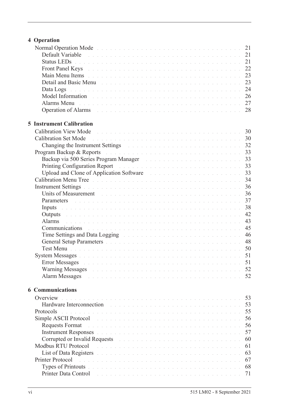| <b>4 Operation</b> |  |
|--------------------|--|
|--------------------|--|

|                                                                                                                                                                                                                                                           |  |  |  |  |  | 21 |
|-----------------------------------------------------------------------------------------------------------------------------------------------------------------------------------------------------------------------------------------------------------|--|--|--|--|--|----|
| Default Variable and a common contract the common contract of the common                                                                                                                                                                                  |  |  |  |  |  | 21 |
| Status LEDs <b>And Alternative Contract Contract Contract Contract Contract Contract Contract Contract Contract Contract Contract Contract Contract Contract Contract Contract Contract Contract Contract Contract Contract Cont</b>                      |  |  |  |  |  | 21 |
| Front Panel Keys and a construction of the construction of the construction of 22                                                                                                                                                                         |  |  |  |  |  |    |
| Main Menu Items received and contract the contract of the contract of the contract of the contract of the contract of the contract of the contract of the contract of the contract of the contract of the contract of the cont                            |  |  |  |  |  | 23 |
| Detail and Basic Menu enterprise to the contract of the contract of the contract of the contract of the contract of the contract of the contract of the contract of the contract of the contract of the contract of the contra                            |  |  |  |  |  | 23 |
| Data Logs (and a conservative conservative conservative conservative conservative conservative conservative conservative conservative conservative conservative conservative conservative conservative conservative conservati                            |  |  |  |  |  | 24 |
| Model Information and a contract the contract of the contract of the contract of the 26                                                                                                                                                                   |  |  |  |  |  |    |
|                                                                                                                                                                                                                                                           |  |  |  |  |  |    |
| Operation of Alarms and all the contract of the contract of the contract of the 28                                                                                                                                                                        |  |  |  |  |  |    |
| <b>5 Instrument Calibration</b>                                                                                                                                                                                                                           |  |  |  |  |  |    |
| Calibration View Mode received and the contract of the contract of the contract of the Contract of the Contract of the Contract of the Contract of the Contract of the Contract of the Contract of the Contract of the Contrac                            |  |  |  |  |  | 30 |
| <b>Calibration Set Mode</b><br>.<br>The contract of the contract of the contract of the contract of the contract of the contract of the contract o                                                                                                        |  |  |  |  |  | 30 |
| Changing the Instrument Settings and a contract of the contract of the settings of the contract of the contract of the contract of the contract of the contract of the contract of the contract of the contract of the contrac                            |  |  |  |  |  |    |
|                                                                                                                                                                                                                                                           |  |  |  |  |  |    |
| Program Backup & Reports and a contract the contract of the contract of the 23                                                                                                                                                                            |  |  |  |  |  | 33 |
| Backup via 500 Series Program Manager and a construction of the construction of the construction of the construction of the construction of the construction of the construction of the construction of the construction of th                            |  |  |  |  |  | 33 |
| Printing Configuration Report and the continuum of the continuum of the continuum of the continuum of the continuum of the continuum of the continuum of the continuum of the continuum of the continuum of the continuum of t                            |  |  |  |  |  |    |
| Upload and Clone of Application Software and a substitution of the state of the state of the state of the state of the state of the state of the state of the state of the state of the state of the state of the state of the                            |  |  |  |  |  | 33 |
|                                                                                                                                                                                                                                                           |  |  |  |  |  | 34 |
| Instrument Settings and a contract of the contract of the contract of the contract of the 36                                                                                                                                                              |  |  |  |  |  |    |
| Units of Measurement entering the contract of the contract of the contract of the state of the 36                                                                                                                                                         |  |  |  |  |  |    |
| Parameters and a communication of the communication of the communication of the communication of the communication of the communication of the communication of the communication of the communication of the communication of                            |  |  |  |  |  | 37 |
| Inputs and a construction of the construction of the construction of the construction of the construction of the construction of the construction of the construction of the construction of the construction of the construct                            |  |  |  |  |  | 38 |
| Outputs and a construction of the construction of the construction of the construction of the construction of the construction of the construction of the construction of the construction of the construction of the construc                            |  |  |  |  |  | 42 |
| Alarms and a construction of the contract of the construction of the construction of                                                                                                                                                                      |  |  |  |  |  | 43 |
| Communications des contracts and the contract of the contract of the contract of the 45                                                                                                                                                                   |  |  |  |  |  |    |
| Time Settings and Data Logging Theorem 2014 Contract the Contract of the Contract of the Contract of the Contract of the Contract of the Contract of the Contract of the Contract of the Contract of the Contract of the Contr                            |  |  |  |  |  | 46 |
| General Setup Parameters and a contract of the contract of the contract of the contract of                                                                                                                                                                |  |  |  |  |  | 48 |
| Test Menu barras de la construcción de la construcción de la construcción de la construcción de 50                                                                                                                                                        |  |  |  |  |  |    |
|                                                                                                                                                                                                                                                           |  |  |  |  |  | 51 |
|                                                                                                                                                                                                                                                           |  |  |  |  |  | 51 |
| Warning Messages entertainment and the contract of the contract of the contract of the contract of the contract of the contract of the contract of the contract of the contract of the contract of the contract of the contrac                            |  |  |  |  |  | 52 |
| <b>Alarm Messages</b><br>and the component of the component of the component of the component of the component of the component of the component of the component of the component of the component of the component of the component of the component    |  |  |  |  |  | 52 |
| <b>6 Communications</b>                                                                                                                                                                                                                                   |  |  |  |  |  |    |
| Overview<br>a construction de la construction de la construction de la construction de la construction de la construction                                                                                                                                 |  |  |  |  |  | 53 |
| Hardware Interconnection<br>a construction of the construction of the construction of the construction of the construction of the construction of the construction of the construction of the construction of the construction of the construction of the |  |  |  |  |  | 53 |
| Protocols<br>a constitución de la característica de la característica de la característica de la característica de la carac                                                                                                                               |  |  |  |  |  | 55 |
| Simple ASCII Protocol<br>and the second contract of the second contract of the second contract of the second contract of the second contract of the second contract of the second contract of the second contract of the second contract of the second    |  |  |  |  |  | 56 |
| <b>Requests Format</b><br>المتعالم والمتعارف والمتعارف والمتعارف والمتعارف والمتعارف والمتعارف والمتعارف والمتعارف والمتعارف والمتعارف                                                                                                                    |  |  |  |  |  | 56 |
| Instrument Responses and a construction of the construction of the construction of the construction of the construction of the construction of the construction of the construction of the construction of the construction of                            |  |  |  |  |  | 57 |
| Corrupted or Invalid Requests<br>.<br>The contract of the contract of the contract of the contract of the contract of the contract of the contract of                                                                                                     |  |  |  |  |  | 60 |
| <b>Modbus RTU Protocol</b><br>.<br>In the first product of the first product of the first product of the first product of the first product of th                                                                                                         |  |  |  |  |  | 61 |
| List of Data Registers and a conservation of the conservation of the conservation of the conservation of the conservation of the conservation of the conservation of the conservation of the conservation of the conservation                             |  |  |  |  |  | 63 |
| Printer Protocol<br>in de la caractería de la caractería de la caractería de la caractería de la caractería de la caractería de la                                                                                                                        |  |  |  |  |  | 67 |
| Types of Printouts and a contract the contract of the contract of the contract of the contract of the contract of                                                                                                                                         |  |  |  |  |  | 68 |
| Printer Data Control                                                                                                                                                                                                                                      |  |  |  |  |  | 71 |
|                                                                                                                                                                                                                                                           |  |  |  |  |  |    |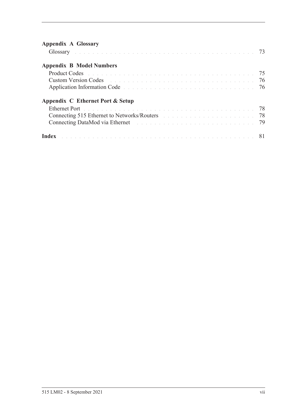| <b>Appendix A Glossary</b>                                                                                                                                                                                                     |  |  |  |  |  |  |
|--------------------------------------------------------------------------------------------------------------------------------------------------------------------------------------------------------------------------------|--|--|--|--|--|--|
| Glossary and the contract of the contract of the contract of the contract of the contract of the contract of the contract of the contract of the contract of the contract of the contract of the contract of the contract of t |  |  |  |  |  |  |
| <b>Appendix B Model Numbers</b>                                                                                                                                                                                                |  |  |  |  |  |  |
| Product Codes et al., and a construction of the construction of the construction of the construction of the T5                                                                                                                 |  |  |  |  |  |  |
| Custom Version Codes and the contract of the contract of the contract of the contract of the contract of the contract of the contract of the contract of the contract of the contract of the contract of the contract of the c |  |  |  |  |  |  |
| Application Information Code entrances and the service contract to the service of the service of the service of the service of the service of the service of the service of the service of the service of the service of the s |  |  |  |  |  |  |
| Appendix C Ethernet Port & Setup                                                                                                                                                                                               |  |  |  |  |  |  |
| Ethernet Port de la communicación de la communicación de la communicación de la 78                                                                                                                                             |  |  |  |  |  |  |
| Connecting 515 Ethernet to Networks/Routers and a connection of the 198                                                                                                                                                        |  |  |  |  |  |  |
| Connecting DataMod via Ethernet entertainment and the connection of the connection of the connection of the connection of the connection of the connection of the connection of the connection of the connection of the connec |  |  |  |  |  |  |
| <b>Index</b>                                                                                                                                                                                                                   |  |  |  |  |  |  |
|                                                                                                                                                                                                                                |  |  |  |  |  |  |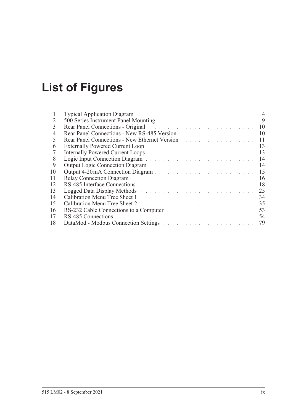# **List of Figures**

| 1                        | Typical Application Diagram and a contract of the contract of the contract of the 4                                                                                                                                            |    |
|--------------------------|--------------------------------------------------------------------------------------------------------------------------------------------------------------------------------------------------------------------------------|----|
| 2                        | 500 Series Instrument Panel Mounting Material Communication of the Series of the Series of the Series of the S                                                                                                                 |    |
| 3                        | Rear Panel Connections - Original and the contract of the contract of the connection of the connection of the connection of the connection of the connection of the connection of the connection of the connection of the conn |    |
| 4                        | Rear Panel Connections - New RS-485 Version                                                                                                                                                                                    |    |
| $\overline{\mathcal{L}}$ | Rear Panel Connections - New Ethernet Version                                                                                                                                                                                  | 11 |
| 6                        |                                                                                                                                                                                                                                | 13 |
| 7                        | Internally Powered Current Loops (1996) and the set of the set of the set of the set of the set of the set of the set of the set of the set of the set of the set of the set of the set of the set of the set of the set of th | 13 |
| 8                        | Logic Input Connection Diagram and a construction of the contract of the contract of the contract of the contract of the contract of the contract of the contract of the contract of the contract of the contract of the contr | 14 |
| 9                        | Output Logic Connection Diagram and a manufacturer of the contract of the contract of                                                                                                                                          | 14 |
| 10                       | Output 4-20mA Connection Diagram                                                                                                                                                                                               | 15 |
| 11                       | Relay Connection Diagram and a connection of the connection of the connection of the connection of the connection of the connection of the connection of the connection of the connection of the connection of the connection  | 16 |
| 12                       |                                                                                                                                                                                                                                | 18 |
| 13                       | Logged Data Display Methods and the contract of the contract of the contract of the contract of the contract of the contract of the contract of the contract of the contract of the contract of the contract of the contract o | 25 |
| 14                       |                                                                                                                                                                                                                                | 34 |
| 15                       | Calibration Menu Tree Sheet 2 and the contract of the contract of the contract of the contract of the contract of the contract of the contract of the contract of the contract of the contract of the contract of the contract | 35 |
| 16                       |                                                                                                                                                                                                                                |    |
| 17                       |                                                                                                                                                                                                                                | 54 |
| 18                       | DataMod - Modbus Connection Settings and a connection of the connection of the Settings and a connection of the Connection of the Connection of the Connection of the Connection of the Connection of the Connection of the Co | 79 |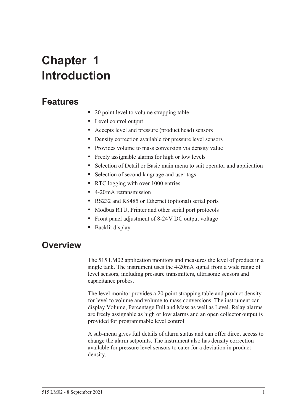# <span id="page-10-0"></span>**Chapter 1 Introduction**

# **Features**

- **•** 20 point level to volume strapping table
- **•** Level control output
- **•** Accepts level and pressure (product head) sensors
- **•** Density correction available for pressure level sensors
- **•** Provides volume to mass conversion via density value
- **•** Freely assignable alarms for high or low levels
- **•** Selection of Detail or Basic main menu to suit operator and application
- **•** Selection of second language and user tags
- RTC logging with over 1000 entries
- **•** 4-20 mA retransmission
- **•** RS232 and RS485 or Ethernet (optional) serial ports
- **•** Modbus RTU, Printer and other serial port protocols
- **•** Front panel adjustment of 8-24 V DC output voltage
- **•** Backlit display

# <span id="page-10-1"></span>**Overview**

The 515 LM02 application monitors and measures the level of product in a single tank. The instrument uses the 4-20mA signal from a wide range of level sensors, including pressure transmitters, ultrasonic sensors and capacitance probes.

The level monitor provides a 20 point strapping table and product density for level to volume and volume to mass conversions. The instrument can display Volume, Percentage Full and Mass as well as Level. Relay alarms are freely assignable as high or low alarms and an open collector output is provided for programmable level control.

A sub-menu gives full details of alarm status and can offer direct access to change the alarm setpoints. The instrument also has density correction available for pressure level sensors to cater for a deviation in product density.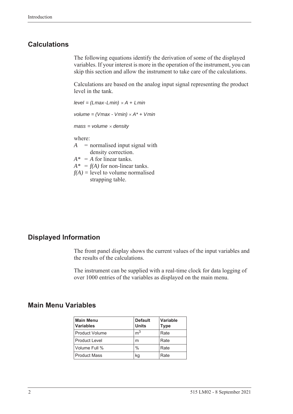# <span id="page-11-0"></span>**Calculations**

The following equations identify the derivation of some of the displayed variables. If your interest is more in the operation of the instrument, you can skip this section and allow the instrument to take care of the calculations.

Calculations are based on the analog input signal representing the product level in the tank.

 $level = (Lmax-Lmin) \times A + Lmin$ 

*volume = (Vmax - Vmin) A\* + V min*

 $mass = volume \times density$ 

#### where:

*A* = normalised input signal with density correction.

 $A^* = A$  for linear tanks.

 $A^* = f(A)$  for non-linear tanks.

 $f(A)$  = level to volume normalised strapping table.

# <span id="page-11-1"></span>**Displayed Information**

<span id="page-11-2"></span>**Main Menu Variables**

The front panel display shows the current values of the input variables and the results of the calculations.

The instrument can be supplied with a real-time clock for data logging of over 1000 entries of the variables as displayed on the main menu.

| Main Menu<br>Variables | <b>Default</b><br><b>Units</b> | Variable<br>Type |  |  |
|------------------------|--------------------------------|------------------|--|--|
| Product Volume         | m <sup>3</sup>                 | Rate             |  |  |
| <b>Product Level</b>   | m                              | Rate             |  |  |
| Volume Full %          | $\frac{0}{0}$                  | Rate             |  |  |
| Product Mass           | kg                             | Rate             |  |  |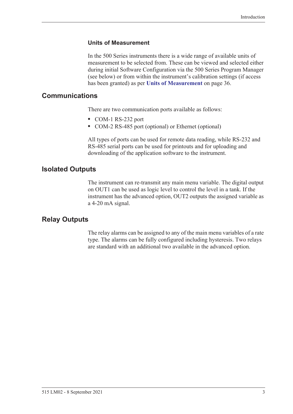### **Units of Measurement**

In the 500 Series instruments there is a wide range of available units of measurement to be selected from. These can be viewed and selected either during initial Software Configuration via the 500 Series Program Manager (see below) or from within the instrument's calibration settings (if access has been granted) as per **[Units of Measurement](#page-45-2)** on page 36.

# <span id="page-12-0"></span>**Communications**

There are two communication ports available as follows:

- **•** COM-1 RS-232 port
- **•** COM-2 RS-485 port (optional) or Ethernet (optional)

All types of ports can be used for remote data reading, while RS-232 and RS-485 serial ports can be used for printouts and for uploading and downloading of the application software to the instrument.

# <span id="page-12-1"></span>**Isolated Outputs**

The instrument can re-transmit any main menu variable. The digital output on OUT1 can be used as logic level to control the level in a tank. If the instrument has the advanced option, OUT2 outputs the assigned variable as a 4-20 mA signal.

# <span id="page-12-2"></span>**Relay Outputs**

The relay alarms can be assigned to any of the main menu variables of a rate type. The alarms can be fully configured including hysteresis. Two relays are standard with an additional two available in the advanced option.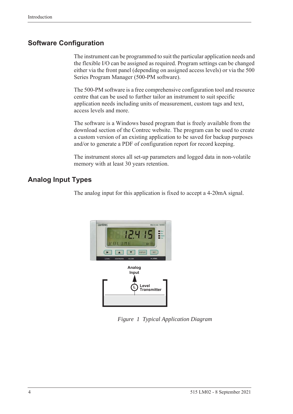# <span id="page-13-0"></span>**Software Configuration**

The instrument can be programmed to suit the particular application needs and the flexible I/O can be assigned as required. Program settings can be changed either via the front panel (depending on assigned access levels) or via the 500 Series Program Manager (500-PM software).

The 500-PM software is a free comprehensive configuration tool and resource centre that can be used to further tailor an instrument to suit specific application needs including units of measurement, custom tags and text, access levels and more.

The software is a Windows based program that is freely available from the download section of the Contrec website. The program can be used to create a custom version of an existing application to be saved for backup purposes and/or to generate a PDF of configuration report for record keeping.

The instrument stores all set-up parameters and logged data in non-volatile memory with at least 30 years retention.

# <span id="page-13-1"></span>**Analog Input Types**

The analog input for this application is fixed to accept a 4-20mA signal.

<span id="page-13-2"></span>

*Figure 1 Typical Application Diagram*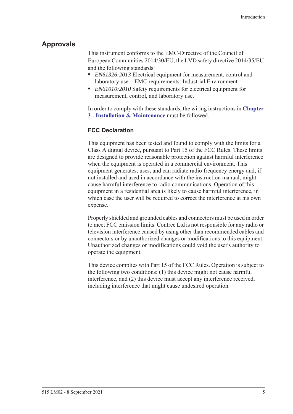# <span id="page-14-0"></span>**Approvals**

This instrument conforms to the EMC-Directive of the Council of European Communities 2014/30/EU, the LVD safety directive 2014/35/EU and the following standards:

- **•** *EN61326:2013* Electrical equipment for measurement, control and laboratory use – EMC requirements: Industrial Environment.
- **•** *EN61010:2010* Safety requirements for electrical equipment for measurement, control, and laboratory use.

In order to comply with these standards, the wiring instructions in **[Chapter](#page-18-5)  [3 - Installation & Maintenance](#page-18-5)** must be followed.

# **FCC Declaration**

This equipment has been tested and found to comply with the limits for a Class A digital device, pursuant to Part 15 of the FCC Rules. These limits are designed to provide reasonable protection against harmful interference when the equipment is operated in a commercial environment. This equipment generates, uses, and can radiate radio frequency energy and, if not installed and used in accordance with the instruction manual, might cause harmful interference to radio communications. Operation of this equipment in a residential area is likely to cause harmful interference, in which case the user will be required to correct the interference at his own expense.

Properly shielded and grounded cables and connectors must be used in order to meet FCC emission limits. Contrec Ltd is not responsible for any radio or television interference caused by using other than recommended cables and connectors or by unauthorized changes or modifications to this equipment. Unauthorized changes or modifications could void the user's authority to operate the equipment.

This device complies with Part 15 of the FCC Rules. Operation is subject to the following two conditions: (1) this device might not cause harmful interference, and (2) this device must accept any interference received, including interference that might cause undesired operation.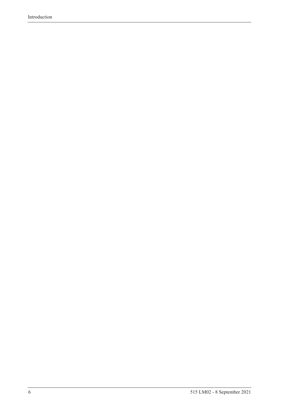Introduction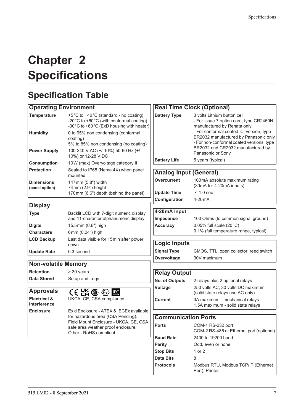# <span id="page-16-0"></span>**Chapter 2 Specifications**

# <span id="page-16-1"></span>**Specification Table**

| <b>Operating Environment</b>            |                                                                                                                                                                    |                               | <b>Real Time Clock (Optional)</b>                                                                                                                 |
|-----------------------------------------|--------------------------------------------------------------------------------------------------------------------------------------------------------------------|-------------------------------|---------------------------------------------------------------------------------------------------------------------------------------------------|
| <b>Temperature</b><br>Humidity          | +5°C to +40°C (standard - no coating)<br>-20°C to +60°C (with conformal coating)<br>-30°C to +60°C (ExD housing with heater)<br>0 to 95% non condensing (conformal | <b>Battery Type</b>           | 3 volts Lithium button cell<br>- For Issue 7 option card, type CR2450N<br>manufactured by Renata only<br>- For conformal coated 'C' version, type |
| <b>Power Supply</b>                     | coating)<br>5% to 85% non condensing (no coating)<br>100-240 V AC (+/-10%) 50-60 Hz (+/-                                                                           |                               | BR2032 manufactured by Panasonic only<br>- For non-conformal coated versions, type<br>BR2032 and CR2032 manufactured by                           |
|                                         | 10%) or 12-28 V DC                                                                                                                                                 | <b>Battery Life</b>           | Panasonic or Sony<br>5 years (typical)                                                                                                            |
| <b>Consumption</b>                      | 10W (max) Overvoltage category II                                                                                                                                  |                               |                                                                                                                                                   |
| <b>Protection</b>                       | Sealed to IP65 (Nema 4X) when panel<br>mounted                                                                                                                     | <b>Analog Input (General)</b> |                                                                                                                                                   |
| <b>Dimensions</b><br>(panel option)     | 147mm (5.8") width<br>74mm (2.9") height                                                                                                                           | <b>Overcurrent</b>            | 100mA absolute maximum rating<br>(30mA for 4-20mA inputs)                                                                                         |
|                                         | 170mm (6.6") depth (behind the panel)                                                                                                                              | <b>Update Time</b>            | $< 1.0$ sec                                                                                                                                       |
|                                         |                                                                                                                                                                    | Configuration                 | $4-20mA$                                                                                                                                          |
| <b>Display</b>                          |                                                                                                                                                                    |                               |                                                                                                                                                   |
| <b>Type</b>                             | Backlit LCD with 7-digit numeric display                                                                                                                           | 4-20mA Input                  |                                                                                                                                                   |
|                                         | and 11-character alphanumeric display                                                                                                                              | Impedance                     | 100 Ohms (to common signal ground)                                                                                                                |
| <b>Digits</b><br><b>Characters</b>      | 15.5mm (0.6") high<br>6mm (0.24") high                                                                                                                             | <b>Accuracy</b>               | $0.05\%$ full scale (20 $^{\circ}$ C)<br>0.1% (full temperature range, typical)                                                                   |
| <b>LCD Backup</b>                       |                                                                                                                                                                    |                               |                                                                                                                                                   |
|                                         | Last data visible for 15min after power<br>down                                                                                                                    | <b>Logic Inputs</b>           |                                                                                                                                                   |
| <b>Update Rate</b>                      | 0.3 second                                                                                                                                                         | <b>Signal Type</b>            | CMOS, TTL, open collector, reed switch                                                                                                            |
|                                         |                                                                                                                                                                    | Overvoltage                   | 30V maximum                                                                                                                                       |
| <b>Non-volatile Memory</b>              |                                                                                                                                                                    |                               |                                                                                                                                                   |
| <b>Retention</b>                        | > 30 years                                                                                                                                                         | <b>Relay Output</b>           |                                                                                                                                                   |
| <b>Data Stored</b>                      | Setup and Logs                                                                                                                                                     | <b>No. of Outputs</b>         | 2 relays plus 2 optional relays                                                                                                                   |
| <b>Approvals</b>                        | $C \in \overline{\mathbb{G}}$ $\circledast$ $\overline{\mathbb{G}}$                                                                                                | Voltage                       | 250 volts AC, 30 volts DC maximum<br>(solid state relays use AC only)                                                                             |
| <b>Electrical &amp;</b><br>Interference | UKCA, CE, CSA compliance                                                                                                                                           | <b>Current</b>                | 3A maximum - mechanical relays<br>1.5A maximum - solid state relays                                                                               |
| <b>Enclosure</b>                        | Ex d Enclosure - ATEX & IECEx available                                                                                                                            |                               |                                                                                                                                                   |
|                                         | for hazardous area (CSA Pending).<br>Field Mount Enclosure - UKCA, CE, CSA                                                                                         | <b>Communication Ports</b>    |                                                                                                                                                   |
|                                         | safe area weather proof enclosure.<br>Other - RoHS compliant                                                                                                       | Ports                         | COM-1 RS-232 port<br>COM-2 RS-485 or Ethernet port (optional)                                                                                     |
|                                         |                                                                                                                                                                    | <b>Baud Rate</b>              | 2400 to 19200 baud                                                                                                                                |
|                                         |                                                                                                                                                                    | <b>Parity</b>                 | Odd, even or none                                                                                                                                 |
|                                         |                                                                                                                                                                    | <b>Stop Bits</b>              | 1 or 2                                                                                                                                            |
|                                         |                                                                                                                                                                    | <b>Data Bits</b>              | 8                                                                                                                                                 |
|                                         |                                                                                                                                                                    | <b>Protocols</b>              | Modbus RTU, Modbus TCP/IP (Ethernet<br>Port), Printer                                                                                             |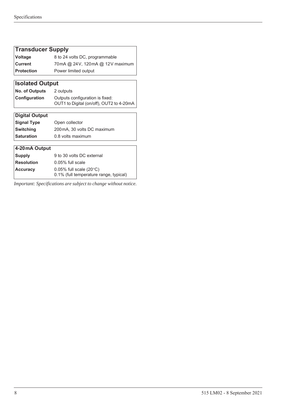| <b>Transducer Supply</b> |                                          |  |  |  |  |  |
|--------------------------|------------------------------------------|--|--|--|--|--|
| Voltage                  | 8 to 24 volts DC, programmable           |  |  |  |  |  |
| <b>Current</b>           | 70mA @ 24V, 120mA @ 12V maximum          |  |  |  |  |  |
| <b>Protection</b>        | Power limited output                     |  |  |  |  |  |
|                          |                                          |  |  |  |  |  |
| <b>Isolated Output</b>   |                                          |  |  |  |  |  |
| No. of Outputs 2 outputs |                                          |  |  |  |  |  |
| Configuration            | Outputs configuration is fixed:          |  |  |  |  |  |
|                          | OUT1 to Digital (on/off), OUT2 to 4-20mA |  |  |  |  |  |
| <b>Digital Output</b>    |                                          |  |  |  |  |  |
| <b>Signal Type</b>       | Open collector                           |  |  |  |  |  |
| <b>Switching</b>         | 200 mA, 30 volts DC maximum              |  |  |  |  |  |
| <b>Saturation</b>        | 0.8 volts maximum                        |  |  |  |  |  |
|                          |                                          |  |  |  |  |  |
| 4-20mA Output            |                                          |  |  |  |  |  |
| <b>Supply</b>            | 9 to 30 volts DC external                |  |  |  |  |  |
| <b>Resolution</b>        | 0.05% full scale                         |  |  |  |  |  |
| <b>Accuracy</b>          | $0.05\%$ full scale (20 $\degree$ C)     |  |  |  |  |  |
|                          | 0.1% (full temperature range, typical)   |  |  |  |  |  |

*Important: Specifications are subject to change without notice.*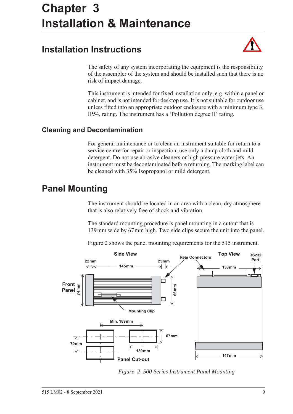# <span id="page-18-5"></span><span id="page-18-0"></span>**Chapter 3 Installation & Maintenance**

# <span id="page-18-1"></span>**Installation Instructions**



The safety of any system incorporating the equipment is the responsibility of the assembler of the system and should be installed such that there is no risk of impact damage.

This instrument is intended for fixed installation only, e.g. within a panel or cabinet, and is not intended for desktop use. It is not suitable for outdoor use unless fitted into an appropriate outdoor enclosure with a minimum type 3, IP54, rating. The instrument has a 'Pollution degree II' rating.

# <span id="page-18-2"></span>**Cleaning and Decontamination**

For general maintenance or to clean an instrument suitable for return to a service centre for repair or inspection, use only a damp cloth and mild detergent. Do not use abrasive cleaners or high pressure water jets. An instrument must be decontaminated before returning. The marking label can be cleaned with 35% Isopropanol or mild detergent.

# <span id="page-18-3"></span>**Panel Mounting**

The instrument should be located in an area with a clean, dry atmosphere that is also relatively free of shock and vibration.

The standard mounting procedure is panel mounting in a cutout that is 139 mm wide by 67 mm high. Two side clips secure the unit into the panel.



[Figure 2](#page-18-4) shows the panel mounting requirements for the 515 instrument.

<span id="page-18-4"></span>*Figure 2 500 Series Instrument Panel Mounting*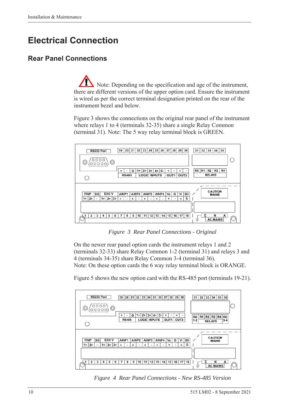# <span id="page-19-0"></span>**Electrical Connection**

# <span id="page-19-1"></span>**Rear Panel Connections**

Note: Depending on the specification and age of the instrument, there are different versions of the upper option card. Ensure the instrument is wired as per the correct terminal designation printed on the rear of the instrument bezel and below.

[Figure 3](#page-19-2) shows the connections on the original rear panel of the instrument where relays 1 to 4 (terminals 32-35) share a single Relay Common (terminal 31). Note: The 5 way relay terminal block is GREEN.



*Figure 3 Rear Panel Connections - Original*

<span id="page-19-2"></span>On the newer rear panel option cards the instrument relays 1 and 2 (terminals 32-33) share Relay Common 1-2 (terminal 31) and relays 3 and 4 (terminals 34-35) share Relay Common 3-4 (terminal 36). Note: On these option cards the 6 way relay terminal block is ORANGE.

[Figure 5](#page-20-1) shows the new option card with the RS-485 port (terminals 19-21).



<span id="page-19-3"></span>*Figure 4 Rear Panel Connections - New RS-485 Version*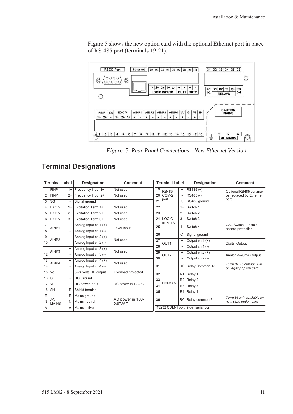[Figure 5](#page-20-1) shows the new option card with the optional Ethernet port in place of RS-485 port (terminals 19-21).



<span id="page-20-1"></span>*Figure 5 Rear Panel Connections - New Ethernet Version*

# <span id="page-20-0"></span>**Terminal Designations**

| <b>Terminal Label</b> |                    |                          | <b>Designation</b>        | <b>Comment</b>     | <b>Terminal Label</b>              |                  |           | <b>Designation</b>  | <b>Comment</b>                                |
|-----------------------|--------------------|--------------------------|---------------------------|--------------------|------------------------------------|------------------|-----------|---------------------|-----------------------------------------------|
| $\mathbf{1}$          | <b>FINP</b>        | $1+$                     | Frequency Input 1+        | Not used           | 19                                 | <b>RS485</b>     | $+$       | RS485 (+)           | Optional RS485 port may                       |
| 2                     | <b>FINP</b>        | $2+$                     | Frequency Input 2+        | Not used           | 20                                 | COM-2            |           | RS485 (-)           | be replaced by Ethernet                       |
| 3                     | SG                 | $\overline{\phantom{a}}$ | Signal ground             |                    | 21                                 | port             | G         | RS485 ground        | port.                                         |
| 4                     | <b>EXC V</b>       | $1+$                     | Excitation Term 1+        | Not used           | 22                                 |                  | $1+$      | Switch 1            |                                               |
| 5                     | <b>EXC V</b>       | $2+$                     | <b>Excitation Term 2+</b> | Not used           | 23                                 |                  | $2+$      | Switch 2            |                                               |
| 6                     | <b>EXC V</b>       | $3+$                     | Excitation Term 3+        | Not used           | 24                                 | <b>LOGIC</b>     | $3+$      | Switch 3            |                                               |
| $\overline{7}$        | AINP1              | $\ddot{}$                | Analog Input ch $1 (+)$   | Level Input        | 25                                 | <b>INPUTS</b>    | $4+$      | Switch 4            | CAL Switch - In field                         |
| 8                     |                    | $\overline{\phantom{a}}$ | Analog Input ch 1 (-)     |                    |                                    |                  |           |                     | access protection                             |
| 9                     |                    | $\ddot{}$                | Analog Input ch $2 (+)$   | Not used           | 26                                 |                  | $C-$      | Signal ground       |                                               |
| 10                    | AINP <sub>2</sub>  | $\overline{\phantom{a}}$ | Analog Input ch 2 (-)     |                    | 27                                 | OUT <sub>1</sub> | $\ddot{}$ | Output ch $1 (+)$   | <b>Digital Output</b>                         |
| 11                    |                    | $\ddot{}$                | Analog Input ch $3 (+)$   | Not used           | 28<br>29                           |                  |           | Output ch 1 (-)     |                                               |
| 12                    | AINP3              | ٠                        | Analog Input ch 3 (-)     |                    |                                    | OUT <sub>2</sub> | $\ddot{}$ | Output ch $2 (+)$   | Analog 4-20mA Output                          |
| 13                    | AINP4              | $\ddot{}$                | Analog Input ch $4 (+)$   | Not used           | 30                                 |                  |           | Output $ch 2$ (-)   |                                               |
| 14                    |                    |                          | Analog Input ch 4 (-)     |                    | 31                                 |                  | RC I      | Relay Common 1-2    | Term 31 - Common 1-4<br>on legacy option card |
| 15 <sup>1</sup>       | l Vo               | $\ddot{}$                | 8-24 volts DC output      | Overload protected | 32                                 |                  | R1        | Relay 1             |                                               |
| 16                    | G                  | $\blacksquare$           | DC Ground                 |                    | 33                                 |                  |           | $R2$ Relay 2        |                                               |
| 17                    | l Vi               | $\ddot{}$                | DC power input            | DC power in 12-28V | $\overline{34}$                    | <b>RELAYS</b>    |           | $R3$ Relay 3        |                                               |
| 18 <sup>1</sup>       | <b>SH</b>          | Ε                        | Shield terminal           |                    | 35                                 |                  |           | R4   Relay 4        |                                               |
| E                     | Ε                  |                          | Mains ground              | AC power in 100-   | 36                                 |                  |           |                     | Term 36 only available on                     |
| N                     | AC<br><b>MAINS</b> | N                        | Mains neutral             | <b>240VAC</b>      |                                    |                  |           | RC Relay common 3-4 | new style option card                         |
| A                     | A                  |                          | Mains active              |                    | RS232 COM-1 port 9-pin serial port |                  |           |                     |                                               |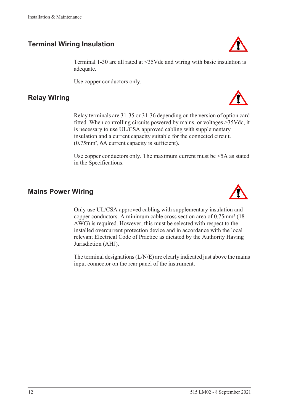Installation & Maintenance

# <span id="page-21-0"></span>**Terminal Wiring Insulation**

Terminal 1-30 are all rated at <35Vdc and wiring with basic insulation is adequate.

Use copper conductors only.

# <span id="page-21-1"></span>**Relay Wiring**

Relay terminals are 31-35 or 31-36 depending on the version of option card fitted. When controlling circuits powered by mains, or voltages >35Vdc, it is necessary to use UL/CSA approved cabling with supplementary insulation and a current capacity suitable for the connected circuit. (0.75mm², 6A current capacity is sufficient).

Use copper conductors only. The maximum current must be  $\leq 5A$  as stated in the Specifications.

# <span id="page-21-2"></span>**Mains Power Wiring**

Only use UL/CSA approved cabling with supplementary insulation and copper conductors. A minimum cable cross section area of 0.75mm² (18 AWG) is required. However, this must be selected with respect to the installed overcurrent protection device and in accordance with the local relevant Electrical Code of Practice as dictated by the Authority Having Jurisdiction (AHJ).

The terminal designations (L/N/E) are clearly indicated just above the mains input connector on the rear panel of the instrument.



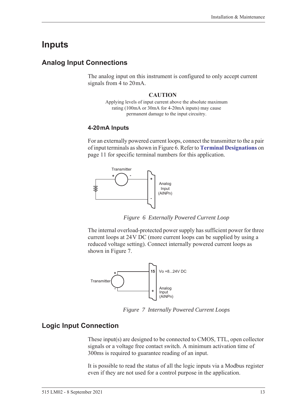# <span id="page-22-0"></span>**Inputs**

# <span id="page-22-1"></span>**Analog Input Connections**

The analog input on this instrument is configured to only accept current signals from 4 to 20 mA.

#### **CAUTION**

Applying levels of input current above the absolute maximum rating (100mA or 30mA for 4-20mA inputs) may cause permanent damage to the input circuitry.

### **4-20 mA Inputs**

For an externally powered current loops, connect the transmitter to the a pair of input terminals as shown in [Figure 6](#page-22-3). Refer to **[Terminal Designations](#page-20-0)** on [page 11](#page-20-0) for specific terminal numbers for this application.



*Figure 6 Externally Powered Current Loop*

<span id="page-22-3"></span>The internal overload-protected power supply has sufficient power for three current loops at 24 V DC (more current loops can be supplied by using a reduced voltage setting). Connect internally powered current loops as shown in [Figure 7.](#page-22-4)



*Figure 7 Internally Powered Current Loops*

# <span id="page-22-2"></span>**Logic Input Connection**

<span id="page-22-4"></span>These input(s) are designed to be connected to CMOS, TTL, open collector signals or a voltage free contact switch. A minimum activation time of 300ms is required to guarantee reading of an input.

It is possible to read the status of all the logic inputs via a Modbus register even if they are not used for a control purpose in the application.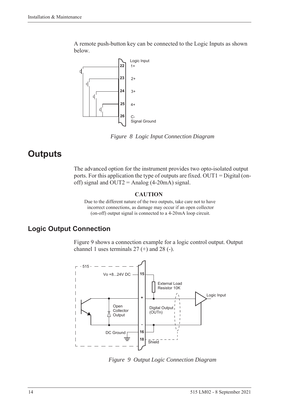

A remote push-button key can be connected to the Logic Inputs as shown below.

*Figure 8 Logic Input Connection Diagram*

# <span id="page-23-0"></span>**Outputs**

<span id="page-23-2"></span>The advanced option for the instrument provides two opto-isolated output ports. For this application the type of outputs are fixed.  $OUT1 = Digital (on$ off) signal and OUT2 = Analog (4-20mA) signal.

### **CAUTION**

Due to the different nature of the two outputs, take care not to have incorrect connections, as damage may occur if an open collector (on-off) output signal is connected to a 4-20 mA loop circuit.

# <span id="page-23-1"></span>**Logic Output Connection**

[Figure 9](#page-23-3) shows a connection example for a logic control output. Output channel 1 uses terminals  $27 (+)$  and  $28 (-)$ .



<span id="page-23-3"></span>*Figure 9 Output Logic Connection Diagram*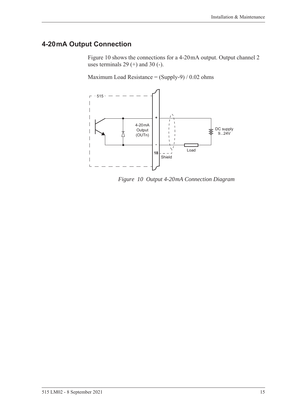# <span id="page-24-0"></span>**4-20 mA Output Connection**

[Figure 10](#page-24-1) shows the connections for a 4-20 mA output. Output channel 2 uses terminals  $29 (+)$  and  $30 (-)$ .

Maximum Load Resistance = (Supply-9) / 0.02 ohms



<span id="page-24-1"></span>*Figure 10 Output 4-20 mA Connection Diagram*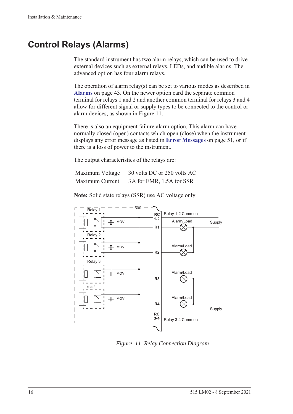# <span id="page-25-0"></span>**Control Relays (Alarms)**

The standard instrument has two alarm relays, which can be used to drive external devices such as external relays, LEDs, and audible alarms. The advanced option has four alarm relays.

The operation of alarm relay(s) can be set to various modes as described in **Alarms** [on page 43.](#page-52-1) On the newer option card the separate common terminal for relays 1 and 2 and another common terminal for relays 3 and 4 allow for different signal or supply types to be connected to the control or alarm devices, as shown in [Figure 11.](#page-25-1)

There is also an equipment failure alarm option. This alarm can have normally closed (open) contacts which open (close) when the instrument displays any error message as listed in **[Error Messages](#page-60-2)** on page 51, or if there is a loss of power to the instrument.

The output characteristics of the relays are:

| Maximum Voltage | 30 volts DC or 250 volts AC |
|-----------------|-----------------------------|
| Maximum Current | 3A for EMR, 1.5A for SSR    |

**Note:** Solid state relays (SSR) use AC voltage only.



<span id="page-25-1"></span>*Figure 11 Relay Connection Diagram*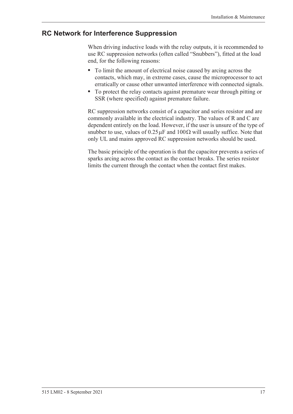# <span id="page-26-0"></span>**RC Network for Interference Suppression**

When driving inductive loads with the relay outputs, it is recommended to use RC suppression networks (often called "Snubbers"), fitted at the load end, for the following reasons:

- **•** To limit the amount of electrical noise caused by arcing across the contacts, which may, in extreme cases, cause the microprocessor to act erratically or cause other unwanted interference with connected signals.
- **•** To protect the relay contacts against premature wear through pitting or SSR (where specified) against premature failure.

RC suppression networks consist of a capacitor and series resistor and are commonly available in the electrical industry. The values of R and C are dependent entirely on the load. However, if the user is unsure of the type of snubber to use, values of  $0.25 \mu$ F and  $100 \Omega$  will usually suffice. Note that only UL and mains approved RC suppression networks should be used.

The basic principle of the operation is that the capacitor prevents a series of sparks arcing across the contact as the contact breaks. The series resistor limits the current through the contact when the contact first makes.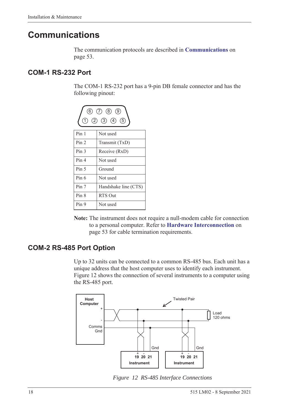# <span id="page-27-0"></span>**Communications**

The communication protocols are described in **[Communications](#page-62-4)** on [page 53.](#page-62-4)

# <span id="page-27-1"></span>**COM-1 RS-232 Port**

The COM-1 RS-232 port has a 9-pin DB female connector and has the following pinout:



**Note:** The instrument does not require a null-modem cable for connection to a personal computer. Refer to **[Hardware Interconnection](#page-62-5)** on [page 53](#page-62-5) for cable termination requirements.

# <span id="page-27-2"></span>**COM-2 RS-485 Port Option**

Up to 32 units can be connected to a common RS-485 bus. Each unit has a unique address that the host computer uses to identify each instrument. [Figure 12](#page-27-3) shows the connection of several instruments to a computer using the RS-485 port.



<span id="page-27-3"></span>*Figure 12 RS-485 Interface Connections*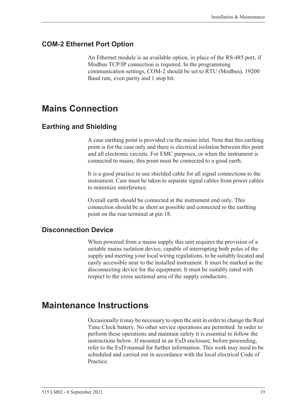### <span id="page-28-0"></span>**COM-2 Ethernet Port Option**

An Ethernet module is an available option, in place of the RS-485 port, if Modbus TCP/IP connection is required. In the programming communication settings, COM-2 should be set to RTU (Modbus), 19200 Baud rate, even parity and 1 stop bit.

# <span id="page-28-1"></span>**Mains Connection**

### <span id="page-28-2"></span>**Earthing and Shielding**

A case earthing point is provided via the mains inlet. Note that this earthing point is for the case only and there is electrical isolation between this point and all electronic circuits. For EMC purposes, or when the instrument is connected to mains, this point must be connected to a good earth.

It is a good practice to use shielded cable for all signal connections to the instrument. Care must be taken to separate signal cables from power cables to minimize interference.

Overall earth should be connected at the instrument end only. This connection should be as short as possible and connected to the earthing point on the rear terminal at pin 18.

# <span id="page-28-3"></span>**Disconnection Device**

When powered from a mains supply this unit requires the provision of a suitable mains isolation device, capable of interrupting both poles of the supply and meeting your local wiring regulations, to be suitably located and easily accessible near to the installed instrument. It must be marked as the disconnecting device for the equipment. It must be suitably rated with respect to the cross sectional area of the supply conductors.

# <span id="page-28-4"></span>**Maintenance Instructions**

Occasionally it may be necessary to open the unit in order to change the Real Time Clock battery. No other service operations are permitted. In order to perform these operations and maintain safety it is essential to follow the instructions below. If mounted in an ExD enclosure, before proceeding, refer to the ExD manual for further information. This work may need to be scheduled and carried out in accordance with the local electrical Code of Practice.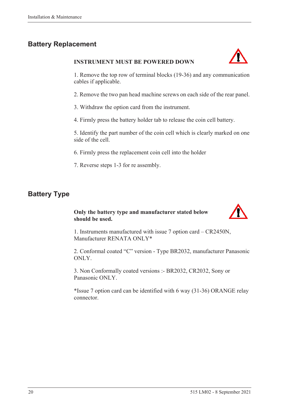# <span id="page-29-0"></span>**Battery Replacement**

#### **INSTRUMENT MUST BE POWERED DOWN**



cables if applicable.

2. Remove the two pan head machine screws on each side of the rear panel.

3. Withdraw the option card from the instrument.

4. Firmly press the battery holder tab to release the coin cell battery.

5. Identify the part number of the coin cell which is clearly marked on one side of the cell.

- 6. Firmly press the replacement coin cell into the holder
- 7. Reverse steps 1-3 for re assembly.

# <span id="page-29-1"></span>**Battery Type**

**Only the battery type and manufacturer stated below should be used.** 



1. Instruments manufactured with issue 7 option card – CR2450N, Manufacturer RENATA ONLY\*

2. Conformal coated "C" version - Type BR2032, manufacturer Panasonic ONLY.

3. Non Conformally coated versions :- BR2032, CR2032, Sony or Panasonic ONLY.

\*Issue 7 option card can be identified with 6 way (31-36) ORANGE relay connector.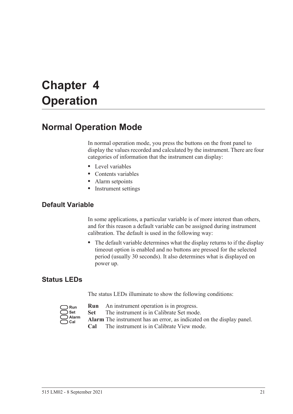# <span id="page-30-0"></span>**Chapter 4 Operation**

# <span id="page-30-1"></span>**Normal Operation Mode**

In normal operation mode, you press the buttons on the front panel to display the values recorded and calculated by the instrument. There are four categories of information that the instrument can display:

- **•** Level variables
- **•** Contents variables
- **•** Alarm setpoints
- **•** Instrument settings

# <span id="page-30-2"></span>**Default Variable**

In some applications, a particular variable is of more interest than others, and for this reason a default variable can be assigned during instrument calibration. The default is used in the following way:

**•** The default variable determines what the display returns to if the display timeout option is enabled and no buttons are pressed for the selected period (usually 30 seconds). It also determines what is displayed on power up.

## <span id="page-30-3"></span>**Status LEDs**

The status LEDs illuminate to show the following conditions:

| Run          |
|--------------|
| <b>Set</b>   |
| <b>Alarm</b> |
| Cal          |
|              |

- **Run** An instrument operation is in progress.
- **Set** The instrument is in Calibrate Set mode.
- **Alarm** The instrument has an error, as indicated on the display panel.
- **Cal** The instrument is in Calibrate View mode.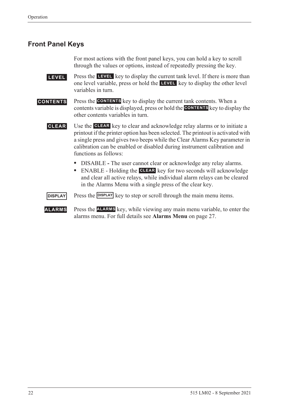# <span id="page-31-0"></span>**Front Panel Keys**

For most actions with the front panel keys, you can hold a key to scroll through the values or options, instead of repeatedly pressing the key.

- **LEVEL** Press the LEVEL key to display the current tank level. If there is more than one level variable, press or hold the **LEVEL** key to display the other level variables in turn.
- **CONTENTS** Press the **CONTENTS** key to display the current tank contents. When a contents variable is displayed, press or hold the **CONTENTS** key to display the other contents variables in turn.
	- Use the key to clear and acknowledge relay alarms or to initiate a **CLEAR CLEAR** printout if the printer option has been selected. The printout is activated with a single press and gives two beeps while the Clear Alarms Key parameter in calibration can be enabled or disabled during instrument calibration and functions as follows:
		- DISABLE The user cannot clear or acknowledge any relay alarms.
		- ENABLE Holding the **CLEAR** key for two seconds will acknowledge and clear all active relays, while individual alarm relays can be cleared in the Alarms Menu with a single press of the clear key.
	- **DISPLAY** Press the **DISPLAY** key to step or scroll through the main menu items.
	- ALARMS Press the **ALARMS** key, while viewing any main menu variable, to enter the alarms menu. For full details see **[Alarms Menu](#page-36-0)** on page 27.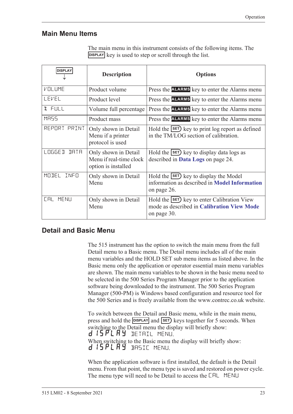# <span id="page-32-0"></span>**Main Menu Items**

The main menu in this instrument consists of the following items. The **DISPLAY** key is used to step or scroll through the list.

| <b>DISPLAY</b>                | <b>Description</b>                                                     | <b>Options</b>                                                                                                 |
|-------------------------------|------------------------------------------------------------------------|----------------------------------------------------------------------------------------------------------------|
| VOLUME                        | Product volume                                                         | Press the <b>ALARMS</b> key to enter the Alarms menu                                                           |
| LEVEL                         | Product level                                                          | Press the <b>ALARMS</b> key to enter the Alarms menu                                                           |
| & FULL                        | Volume full percentage                                                 | Press the <b>ALARMS</b> key to enter the Alarms menu                                                           |
| MR55                          | Product mass                                                           | Press the ALARMS key to enter the Alarms menu                                                                  |
| REPORT PRINT                  | Only shown in Detail<br>Menu if a printer<br>protocol is used          | Hold the $\text{SET}$ key to print log report as defined<br>in the TM/LOG section of calibration.              |
| <b>LOGGE D</b><br><b>IRTR</b> | Only shown in Detail<br>Menu if real-time clock<br>option is installed | Hold the $\text{SET}$ key to display data logs as<br>described in <b>Data Logs</b> on page 24.                 |
| MODEL<br>INFO                 | Only shown in Detail<br>Menu                                           | Hold the $\text{SET}$ key to display the Model<br>information as described in Model Information<br>on page 26. |
| <b>CAL MENU</b>               | Only shown in Detail<br>Menu                                           | Hold the <b>SET</b> key to enter Calibration View<br>mode as described in Calibration View Mode<br>on page 30. |

# <span id="page-32-1"></span>**Detail and Basic Menu**

The 515 instrument has the option to switch the main menu from the full Detail menu to a Basic menu. The Detail menu includes all of the main menu variables and the HOLD SET sub menu items as listed above. In the Basic menu only the application or operator essential main menu variables are shown. The main menu variables to be shown in the basic menu need to be selected in the 500 Series Program Manager prior to the application software being downloaded to the instrument. The 500 Series Program Manager (500-PM) is Windows based configuration and resource tool for the 500 Series and is freely available from the www.contrec.co.uk website.

To switch between the Detail and Basic menu, while in the main menu, press and hold the **DISPLAY** and **SET**) keys together for 5 seconds. When switching to the Detail menu the display will briefly show: d 15 PL AY DETAIL MENU. When switching to the Basic menu the display will briefly show: d ISPLAY BASIC MENU.

When the application software is first installed, the default is the Detail menu. From that point, the menu type is saved and restored on power cycle. The menu type will need to be Detail to access the CAL MENU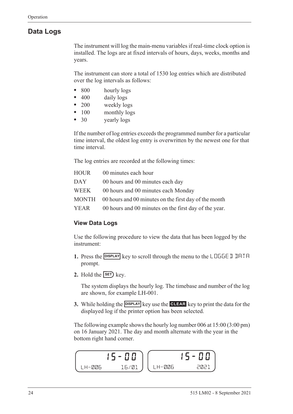# <span id="page-33-0"></span>**Data Logs**

The instrument will log the main-menu variables if real-time clock option is installed. The logs are at fixed intervals of hours, days, weeks, months and years.

The instrument can store a total of 1530 log entries which are distributed over the log intervals as follows:

- 800 hourly logs
- 400 daily logs
- **•** 200 weekly logs
- **•** 100 monthly logs
- 30 yearly logs

If the number of log entries exceeds the programmed number for a particular time interval, the oldest log entry is overwritten by the newest one for that time interval.

The log entries are recorded at the following times:

| <b>HOUR</b> | 00 minutes each hour                                        |
|-------------|-------------------------------------------------------------|
| <b>DAY</b>  | 00 hours and 00 minutes each day                            |
| WEEK        | 00 hours and 00 minutes each Monday                         |
|             | MONTH 00 hours and 00 minutes on the first day of the month |
| YEAR        | 00 hours and 00 minutes on the first day of the year.       |

## **View Data Logs**

Use the following procedure to view the data that has been logged by the instrument:

- **1.** Press the **DISPLAY** key to scroll through the menu to the LOGGE D DATA prompt.
- **2.** Hold the  $\overline{\text{SET}}$  key.

The system displays the hourly log. The timebase and number of the log are shown, for example LH-001.

**3.** While holding the **DISPLAY** key use the **CLEAR** key to print the data for the displayed log if the printer option has been selected.

The following example shows the hourly log number 006 at 15:00 (3:00 pm) on 16 January 2021. The day and month alternate with the year in the bottom right hand corner.

$$
\begin{array}{|c|c|c|}\hline & I5-00\\ \hline \text{LH-BAB} & \text{15/81} \\\hline \end{array}\begin{array}{|c|c|c|}\hline & I5-00\\ \hline \text{LH-BAB} & \text{BBA} \\\hline \end{array}
$$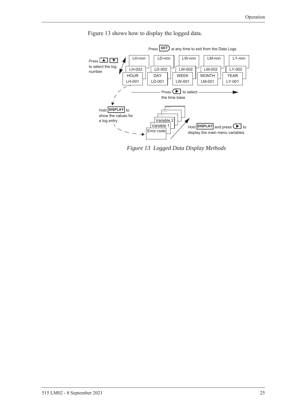

[Figure 13](#page-34-0) shows how to display the logged data.

<span id="page-34-0"></span>*Figure 13 Logged Data Display Methods*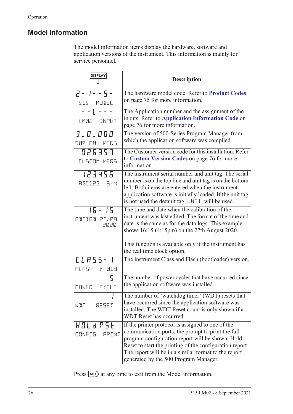# <span id="page-35-0"></span>**Model Information**

The model information items display the hardware, software and application versions of the instrument. This information is mainly for service personnel.

| <b>DISPLAY</b>                     | <b>Description</b>                                                                                                                                                                                                                                                                                                      |
|------------------------------------|-------------------------------------------------------------------------------------------------------------------------------------------------------------------------------------------------------------------------------------------------------------------------------------------------------------------------|
| $2 - 1 - 5 -$<br>515 MODEL         | The hardware model code. Refer to Product Codes<br>on page 75 for more information.                                                                                                                                                                                                                                     |
| $- - 1 - - -$<br>LM02 INPUT        | The Application number and the assignment of the<br>inputs. Refer to Application Information Code on<br>page 76 for more information.                                                                                                                                                                                   |
| 3.0.000<br>S00-PM VERS             | The version of 500-Series Program Manager from<br>which the application software was compiled.                                                                                                                                                                                                                          |
| 026357<br>CUSTOM VERS              | The Customer version code for this installation. Refer<br>to Custom Version Codes on page 76 for more<br>information.                                                                                                                                                                                                   |
| 123456<br><b>ABC123 5/N</b>        | The instrument serial number and unit tag. The serial<br>number is on the top line and unit tag is on the bottom<br>left. Both items are entered when the instrument<br>application software is initially loaded. If the unit tag<br>is not used the default tag, UNIT, will be used.                                   |
| $15 - 15$<br>EDITED 27/08<br>5050  | The time and date when the calibration of the<br>instrument was last edited. The format of the time and<br>date is the same as for the data logs. This example<br>shows 16:15 (4:15pm) on the 27th August 2020.<br>This function is available only if the instrument has                                                |
| [LA55-1<br>FLASH V-019             | the real time clock option.<br>The instrument Class and Flash (bootloader) version.                                                                                                                                                                                                                                     |
| 5<br>POWER EYELE                   | The number of power cycles that have occurred since<br>the application software was installed.                                                                                                                                                                                                                          |
| RESET<br>WIT                       | The number of 'watchdog timer' (WDT) resets that<br>have occurred since the application software was<br>installed. The WDT Reset count is only shown if a<br>WDT Reset has occurred.                                                                                                                                    |
| HOLd.PSE<br><b>CONFIG</b><br>PRINT | If the printer protocol is assigned to one of the<br>communication ports, the prompt to print the full<br>program configuration report will be shown. Hold<br>Reset to start the printing of the configuration report.<br>The report will be in a similar format to the report<br>generated by the 500 Program Manager. |

Press **SET**) at any time to exit from the Model information.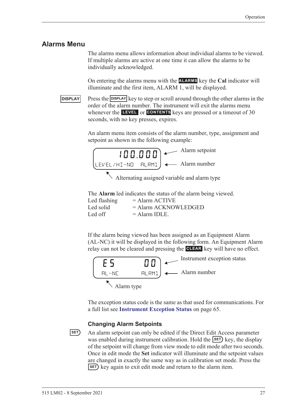#### **Alarms Menu**

The alarms menu allows information about individual alarms to be viewed. If multiple alarms are active at one time it can allow the alarms to be individually acknowledged.

On entering the alarms menu with the **ALARMS** key the **Cal** indicator will illuminate and the first item, ALARM 1, will be displayed.

**DISPLAY** Press the **DISPLAY** key to step or scroll around through the other alarms in the order of the alarm number. The instrument will exit the alarms menu **Whenever the LEVEL or CONTENTS** keys are pressed or a timeout of 30 seconds, with no key presses, expires.

> An alarm menu item consists of the alarm number, type, assignment and setpoint as shown in the following example:



The **Alarm** led indicates the status of the alarm being viewed.

| Led flashing | $=$ Alarm ACTIVE       |
|--------------|------------------------|
| Led solid    | $=$ Alarm ACKNOWLEDGED |
| Led off      | $=$ Alarm IDLE.        |

If the alarm being viewed has been assigned as an Equipment Alarm (AL-NC) it will be displayed in the following form. An Equipment Alarm relay can not be cleared and pressing the **CLEAR** key will have no effect.



The exception status code is the same as that used for communications. For a full list see **[Instrument Exception Status](#page-74-0)** on page 65.

#### **Changing Alarm Setpoints**

**SET**

An alarm setpoint can only be edited if the Direct Edit Access parameter was enabled during instrument calibration. Hold the **SET** key, the display of the setpoint will change from view mode to edit mode after two seconds. Once in edit mode the **Set** indicator will illuminate and the setpoint values are changed in exactly the same way as in calibration set mode. Press the set) key again to exit edit mode and return to the alarm item.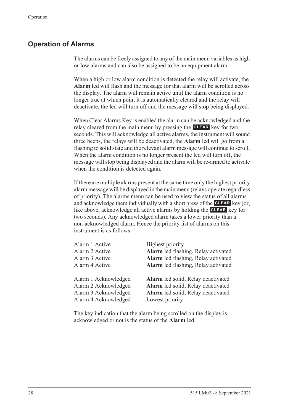## <span id="page-37-0"></span>**Operation of Alarms**

The alarms can be freely assigned to any of the main menu variables as high or low alarms and can also be assigned to be an equipment alarm.

When a high or low alarm condition is detected the relay will activate, the **Alarm** led will flash and the message for that alarm will be scrolled across the display. The alarm will remain active until the alarm condition is no longer true at which point it is automatically cleared and the relay will deactivate, the led will turn off and the message will stop being displayed.

When Clear Alarms Key is enabled the alarm can be acknowledged and the relay cleared from the main menu by pressing the **CLEAR** key for two seconds. This will acknowledge all active alarms, the instrument will sound three beeps, the relays will be deactivated, the **Alarm** led will go from a flashing to solid state and the relevant alarm message will continue to scroll. When the alarm condition is no longer present the led will turn off, the message will stop being displayed and the alarm will be re-armed to activate when the condition is detected again.

If there are multiple alarms present at the same time only the highest priority alarm message will be displayed in the main menu (relays operate regardless of priority). The alarms menu can be used to view the status of all alarms and acknowledge them individually with a short press of the **CLEAR** key (or, like above, acknowledge all active alarms by holding the **CLEAR** key for two seconds). Any acknowledged alarm takes a lower priority than a non-acknowledged alarm. Hence the priority list of alarms on this instrument is as follows:

| Alarm 1 Active       | Highest priority                    |
|----------------------|-------------------------------------|
| Alarm 2 Active       | Alarm led flashing, Relay activated |
| Alarm 3 Active       | Alarm led flashing, Relay activated |
| Alarm 4 Active       | Alarm led flashing, Relay activated |
| Alarm 1 Acknowledged | Alarm led solid, Relay deactivated  |
| Alarm 2 Acknowledged | Alarm led solid, Relay deactivated  |
| Alarm 3 Acknowledged | Alarm led solid, Relay deactivated  |
| Alarm 4 Acknowledged | Lowest priority                     |

The key indication that the alarm being scrolled on the display is acknowledged or not is the status of the **Alarm** led.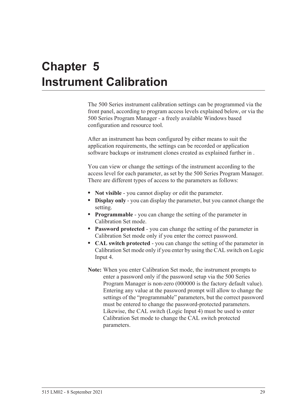# **Chapter 5 Instrument Calibration**

The 500 Series instrument calibration settings can be programmed via the front panel, according to program access levels explained below, or via the 500 Series Program Manager - a freely available Windows based configuration and resource tool.

After an instrument has been configured by either means to suit the application requirements, the settings can be recorded or application software backups or instrument clones created as explained further in .

You can view or change the settings of the instrument according to the access level for each parameter, as set by the 500 Series Program Manager. There are different types of access to the parameters as follows:

- **• Not visible** you cannot display or edit the parameter.
- **• Display only** you can display the parameter, but you cannot change the setting.
- **• Programmable** you can change the setting of the parameter in Calibration Set mode.
- **• Password protected** you can change the setting of the parameter in Calibration Set mode only if you enter the correct password.
- **• CAL switch protected**  you can change the setting of the parameter in Calibration Set mode only if you enter by using the CAL switch on Logic Input 4.
- **Note:** When you enter Calibration Set mode, the instrument prompts to enter a password only if the password setup via the 500 Series Program Manager is non-zero (000000 is the factory default value). Entering any value at the password prompt will allow to change the settings of the "programmable" parameters, but the correct password must be entered to change the password-protected parameters. Likewise, the CAL switch (Logic Input 4) must be used to enter Calibration Set mode to change the CAL switch protected parameters.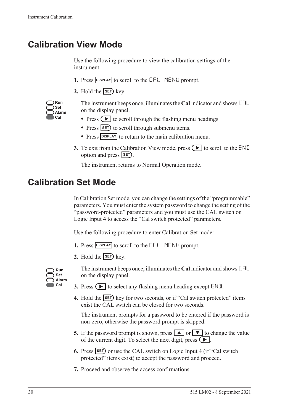# **Calibration View Mode**

Use the following procedure to view the calibration settings of the instrument:

- 1. Press **DISPLAY** to scroll to the **CAL** MENLI prompt.
- **2.** Hold the  $\overline{\text{SET}}$  key.



The instrument beeps once, illuminates the **Cal** indicator and shows CAL on the display panel.

- Press  $\left( \blacktriangleright \right)$  to scroll through the flashing menu headings.
- Press **SET**) to scroll through submenu items.
- Press **DISPLAY** to return to the main calibration menu.
- **3.** To exit from the Calibration View mode, press  $\Box$  to scroll to the END option and press **SET**).

The instrument returns to Normal Operation mode.

# **Calibration Set Mode**

In Calibration Set mode, you can change the settings of the "programmable" parameters. You must enter the system password to change the setting of the "password-protected" parameters and you must use the CAL switch on Logic Input 4 to access the "Cal switch protected" parameters.

Use the following procedure to enter Calibration Set mode:

- **1.** Press **DISPLAY** to scroll to the **CAL** MENLI prompt.
- **2.** Hold the  $\overline{\text{SET}}$  key.



The instrument beeps once, illuminates the **Cal** indicator and shows CAL on the display panel.

- **3.** Press  $\left( \blacktriangleright \right)$  to select any flashing menu heading except END.
- **4.** Hold the **SET** key for two seconds, or if "Cal switch protected" items exist the CAL switch can be closed for two seconds.

The instrument prompts for a password to be entered if the password is non-zero, otherwise the password prompt is skipped.

- **5.** If the password prompt is shown, press  $\boxed{\blacktriangle}$  or  $\boxed{\blacktriangledown}$  to change the value of the current digit. To select the next digit, press  $\Box$ .
- **6.** Press **SET** or use the CAL switch on Logic Input 4 (if "Cal switch protected" items exist) to accept the password and proceed.
- **7.** Proceed and observe the access confirmations.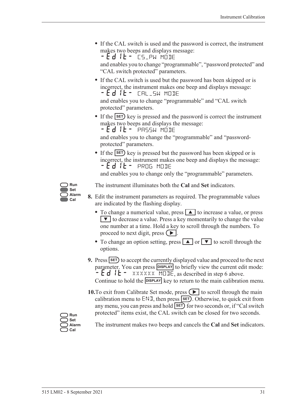**•** If the CAL switch is used and the password is correct, the instrument makes two beeps and displays message:  $-Ed$  it -  $TS$  pw mode

and enables you to change "programmable", "password protected" and "CAL switch protected" parameters.

• If the CAL switch is used but the password has been skipped or is incorrect, the instrument makes one beep and displays message: -EDIT- CAL\_SW MODE

and enables you to change "programmable" and "CAL switch protected" parameters.

- If the **SET**) key is pressed and the password is correct the instrument makes two beeps and displays the message:
	- -EDIT- PASSW MODE and enables you to change the "programmable" and "passwordprotected" parameters.
- If the **SET**) key is pressed but the password has been skipped or is incorrect, the instrument makes one beep and displays the message: -EDIT- PROG MODE

and enables you to change only the "programmable" parameters.



The instrument illuminates both the **Cal** and **Set** indicators.

- **8.** Edit the instrument parameters as required. The programmable values are indicated by the flashing display.
	- To change a numerical value, press **A** to increase a value, or press  $\triangledown$  to decrease a value. Press a key momentarily to change the value one number at a time. Hold a key to scroll through the numbers. To proceed to next digit, press  $(\blacktriangleright)$ .
	- To change an option setting, press  $\Box$  or  $\nabla$  to scroll through the options.
- **9.** Press **SET** to accept the currently displayed value and proceed to the next parameter. You can press **DISPLAY** to briefly view the current edit mode:  $-Ed$   $E - \frac{2}{x}$  XXXXXX MODE, as described in step 6 above. Continue to hold the **DISPLAY** key to return to the main calibration menu.
- **10.**To exit from Calibrate Set mode, press  $\Box$  to scroll through the main calibration menu to  $ENI$ , then press  $SET$ . Otherwise, to quick exit from any menu, you can press and hold **SET** for two seconds or, if "Cal switch protected" items exist, the CAL switch can be closed for two seconds.

**Run Set Alarm Cal**

The instrument makes two beeps and cancels the **Cal** and **Set** indicators.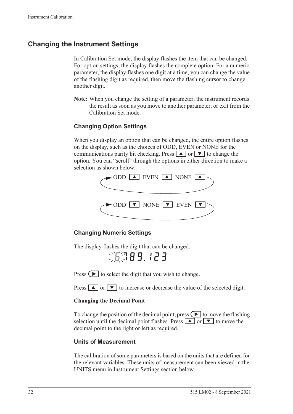## **Changing the Instrument Settings**

In Calibration Set mode, the display flashes the item that can be changed. For option settings, the display flashes the complete option. For a numeric parameter, the display flashes one digit at a time, you can change the value of the flashing digit as required, then move the flashing cursor to change another digit.

**Note:** When you change the setting of a parameter, the instrument records the result as soon as you move to another parameter, or exit from the Calibration Set mode.

#### **Changing Option Settings**

When you display an option that can be changed, the entire option flashes on the display, such as the choices of ODD, EVEN or NONE for the communications parity bit checking. Press  $\boxed{\blacktriangle}$  or  $\boxed{\blacktriangledown}$  to change the option. You can "scroll" through the options in either direction to make a selection as shown below.



#### **Changing Numeric Settings**

The display flashes the digit that can be changed.

第第89.123

Press  $\left( \blacktriangleright \right)$  to select the digit that you wish to change.

Press  $\boxed{\blacktriangle}$  or  $\boxed{\blacktriangledown}$  to increase or decrease the value of the selected digit.

#### **Changing the Decimal Point**

To change the position of the decimal point, press  $\Box$  to move the flashing selection until the decimal point flashes. Press  $\boxed{\blacktriangle}$  or  $\boxed{\blacktriangledown}$  to move the decimal point to the right or left as required.

#### **Units of Measurement**

The calibration of some parameters is based on the units that are defined for the relevant variables. These units of measurement can been viewed in the UNITS menu in Instrument Settings section below.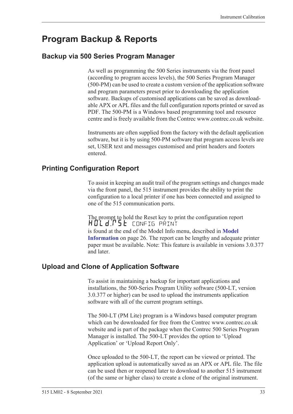# **Program Backup & Reports**

## **Backup via 500 Series Program Manager**

As well as programming the 500 Series instruments via the front panel (according to program access levels), the 500 Series Program Manager (500-PM) can be used to create a custom version of the application software and program parameters preset prior to downloading the application software. Backups of customised applications can be saved as downloadable APX or APL files and the full configuration reports printed or saved as PDF. The 500-PM is a Windows based programming tool and resource centre and is freely available from the Contrec www.contrec.co.uk website.

Instruments are often supplied from the factory with the default application software, but it is by using 500-PM software that program access levels are set, USER text and messages customised and print headers and footers entered.

## **Printing Configuration Report**

To assist in keeping an audit trail of the program settings and changes made via the front panel, the 515 instrument provides the ability to print the configuration to a local printer if one has been connected and assigned to one of the 515 communication ports.

The prompt to hold the Reset key to print the configuration report HOLd.PSE CONFIG PRINT is found at the end of the Model Info menu, described in **[Model](#page-35-0)  [Information](#page-35-0)** on page 26. The report can be lengthy and adequate printer paper must be available. Note: This feature is available in versions 3.0.377 and later.

## **Upload and Clone of Application Software**

To assist in maintaining a backup for important applications and installations, the 500-Series Program Utility software (500-LT, version 3.0.377 or higher) can be used to upload the instruments application software with all of the current program settings.

The 500-LT (PM Lite) program is a Windows based computer program which can be downloaded for free from the Contrec www.contrec.co.uk website and is part of the package when the Contrec 500 Series Program Manager is installed. The 500-LT provides the option to 'Upload Application' or 'Upload Report Only'.

Once uploaded to the 500-LT, the report can be viewed or printed. The application upload is automatically saved as an APX or APL file. The file can be used then or reopened later to download to another 515 instrument (of the same or higher class) to create a clone of the original instrument.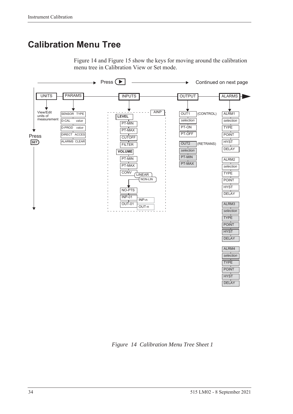# **Calibration Menu Tree**

[Figure 14](#page-43-0) and [Figure 15](#page-44-0) show the keys for moving around the calibration menu tree in Calibration View or Set mode.



<span id="page-43-0"></span>*Figure 14 Calibration Menu Tree Sheet 1*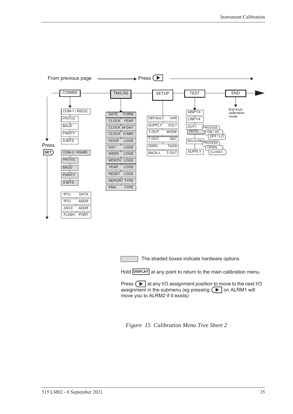

The shaded boxes indicate hardware options

Hold **DISPLAY** at any point to return to the main calibration menu.

Press  $\Box$  at any I/O assignment position to move to the next I/O assignment in the submenu (eg pressing  $\left( \blacktriangleright \right)$  on ALRM1 will move you to ALRM2 if it exists)

<span id="page-44-0"></span>*Figure 15 Calibration Menu Tree Sheet 2*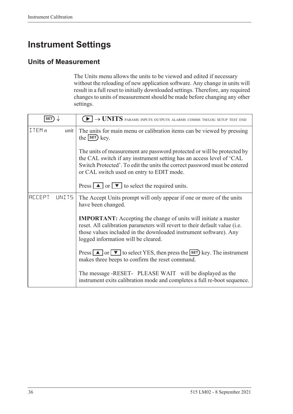# **Instrument Settings**

## **Units of Measurement**

The Units menu allows the units to be viewed and edited if necessary without the reloading of new application software. Any change in units will result in a full reset to initially downloaded settings. Therefore, any required changes to units of measurement should be made before changing any other settings.

| <b>SET</b>                | $\blacktriangleright$ $\rightarrow$ UNITS params inputs outputs alarms comms tm/log setup test end                                                                                                                                                                        |  |
|---------------------------|---------------------------------------------------------------------------------------------------------------------------------------------------------------------------------------------------------------------------------------------------------------------------|--|
| ITER <sub>n</sub><br>unit | The units for main menu or calibration items can be viewed by pressing<br>the $\left  \text{set} \right $ key.                                                                                                                                                            |  |
|                           | The units of measurement are password protected or will be protected by<br>the CAL switch if any instrument setting has an access level of 'CAL<br>Switch Protected'. To edit the units the correct password must be entered<br>or CAL switch used on entry to EDIT mode. |  |
|                           | Press $\boxed{\blacktriangle}$ or $\boxed{\blacktriangledown}$ to select the required units.                                                                                                                                                                              |  |
| <b>ACCEPT</b><br>LINIT5   | The Accept Units prompt will only appear if one or more of the units<br>have been changed.                                                                                                                                                                                |  |
|                           | <b>IMPORTANT:</b> Accepting the change of units will initiate a master<br>reset. All calibration parameters will revert to their default value (i.e.<br>those values included in the downloaded instrument software). Any<br>logged information will be cleared.          |  |
|                           | Press $\Box$ or $\nabla$ to select YES, then press the SET key. The instrument<br>makes three beeps to confirm the reset command.                                                                                                                                         |  |
|                           | The message -RESET- PLEASE WAIT will be displayed as the<br>instrument exits calibration mode and completes a full re-boot sequence.                                                                                                                                      |  |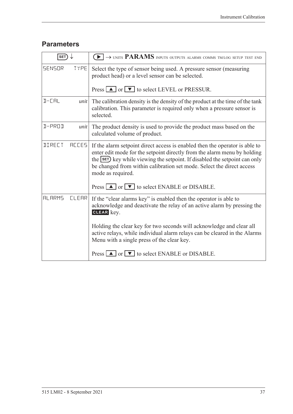## **Parameters**

| SET                           | $\blacktriangleright$ $\rightarrow$ units PARAMS inputs outputs alarms comms tm/log setup test end                                                                                                                                                                                                                                                                                                                                         |
|-------------------------------|--------------------------------------------------------------------------------------------------------------------------------------------------------------------------------------------------------------------------------------------------------------------------------------------------------------------------------------------------------------------------------------------------------------------------------------------|
| SENSOR<br><b>TYPE</b>         | Select the type of sensor being used. A pressure sensor (measuring<br>product head) or a level sensor can be selected.<br>Press $\boxed{\blacktriangle}$ or $\boxed{\blacktriangledown}$ to select LEVEL or PRESSUR.                                                                                                                                                                                                                       |
|                               |                                                                                                                                                                                                                                                                                                                                                                                                                                            |
| $J - L H$<br>unit             | The calibration density is the density of the product at the time of the tank<br>calibration. This parameter is required only when a pressure sensor is<br>selected.                                                                                                                                                                                                                                                                       |
| $I - P$ RO $I$<br>unit        | The product density is used to provide the product mass based on the<br>calculated volume of product.                                                                                                                                                                                                                                                                                                                                      |
| <b>IIRECT</b><br><b>RECES</b> | If the alarm setpoint direct access is enabled then the operator is able to<br>enter edit mode for the setpoint directly from the alarm menu by holding<br>the <b>SET</b> ) key while viewing the setpoint. If disabled the setpoint can only<br>be changed from within calibration set mode. Select the direct access<br>mode as required.<br>Press $\boxed{\blacktriangle}$ or $\boxed{\blacktriangledown}$ to select ENABLE or DISABLE. |
| <b>ALARMS</b><br><b>CLEAR</b> | If the "clear alarms key" is enabled then the operator is able to<br>acknowledge and deactivate the relay of an active alarm by pressing the<br><b>CLEAR</b> key.<br>Holding the clear key for two seconds will acknowledge and clear all<br>active relays, while individual alarm relays can be cleared in the Alarms<br>Menu with a single press of the clear key.<br>Press $\Box$ or $\nabla$ to select ENABLE or DISABLE.              |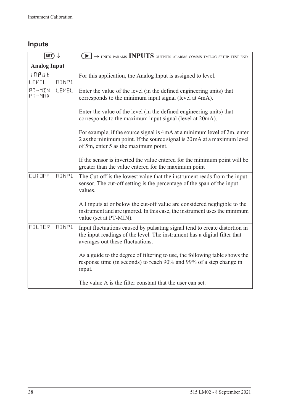# **Inputs**

| SET) $\downarrow$   |              | $\blacktriangleright$ $\rightarrow$ units params INPUTS outputs alarms comms tm/log setup test end                                                                                          |  |
|---------------------|--------------|---------------------------------------------------------------------------------------------------------------------------------------------------------------------------------------------|--|
| <b>Analog Input</b> |              |                                                                                                                                                                                             |  |
| INPUE<br>LEVEL      | <b>AINP1</b> | For this application, the Analog Input is assigned to level.                                                                                                                                |  |
| PT-MIN<br>PT-MAX    | LEVEL        | Enter the value of the level (in the defined engineering units) that<br>corresponds to the minimum input signal (level at 4mA).                                                             |  |
|                     |              | Enter the value of the level (in the defined engineering units) that<br>corresponds to the maximum input signal (level at 20mA).                                                            |  |
|                     |              | For example, if the source signal is 4mA at a minimum level of 2m, enter<br>2 as the minimum point. If the source signal is 20mA at a maximum level<br>of 5m, enter 5 as the maximum point. |  |
|                     |              | If the sensor is inverted the value entered for the minimum point will be<br>greater than the value entered for the maximum point                                                           |  |
| CUTOFF              | <b>AINP1</b> | The Cut-off is the lowest value that the instrument reads from the input<br>sensor. The cut-off setting is the percentage of the span of the input<br>values.                               |  |
|                     |              | All inputs at or below the cut-off value are considered negligible to the<br>instrument and are ignored. In this case, the instrument uses the minimum<br>value (set at PT-MIN).            |  |
| FILTER              | <b>AINP1</b> | Input fluctuations caused by pulsating signal tend to create distortion in<br>the input readings of the level. The instrument has a digital filter that<br>averages out these fluctuations. |  |
|                     |              | As a guide to the degree of filtering to use, the following table shows the<br>response time (in seconds) to reach 90% and 99% of a step change in<br>input.                                |  |
|                     |              | The value A is the filter constant that the user can set.                                                                                                                                   |  |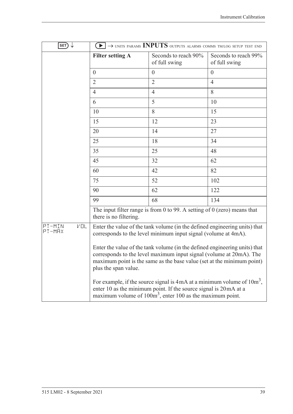| SET)                              |                         | $\left\{ \rightarrow\right\}$ units params INPUTS outputs alarms comms tm/log setup test end                                                                                                                                |                                       |
|-----------------------------------|-------------------------|-----------------------------------------------------------------------------------------------------------------------------------------------------------------------------------------------------------------------------|---------------------------------------|
|                                   | <b>Filter setting A</b> | Seconds to reach 90%<br>of full swing                                                                                                                                                                                       | Seconds to reach 99%<br>of full swing |
|                                   | $\overline{0}$          | $\theta$                                                                                                                                                                                                                    | $\overline{0}$                        |
|                                   | $\overline{2}$          | $\overline{2}$                                                                                                                                                                                                              | $\overline{4}$                        |
|                                   | 4                       | $\overline{4}$                                                                                                                                                                                                              | 8                                     |
|                                   | 6                       | 5                                                                                                                                                                                                                           | 10                                    |
|                                   | 10                      | 8                                                                                                                                                                                                                           | 15                                    |
|                                   | 15                      | 12                                                                                                                                                                                                                          | 23                                    |
|                                   | 20                      | 14                                                                                                                                                                                                                          | 27                                    |
|                                   | 25                      | 18                                                                                                                                                                                                                          | 34                                    |
|                                   | 35                      | 25                                                                                                                                                                                                                          | 48                                    |
|                                   | 45                      | 32                                                                                                                                                                                                                          | 62                                    |
|                                   | 60                      | 42                                                                                                                                                                                                                          | 82                                    |
|                                   | 75                      | 52                                                                                                                                                                                                                          | 102                                   |
|                                   | 90                      | 62                                                                                                                                                                                                                          | 122                                   |
|                                   | 99                      | 68                                                                                                                                                                                                                          | 134                                   |
|                                   | there is no filtering.  | The input filter range is from 0 to 99. A setting of $0$ (zero) means that                                                                                                                                                  |                                       |
| PT-MIN<br>$V \square L$<br>PT-MAX |                         | Enter the value of the tank volume (in the defined engineering units) that<br>corresponds to the level minimum input signal (volume at 4mA).                                                                                |                                       |
|                                   | plus the span value.    | Enter the value of the tank volume (in the defined engineering units) that<br>corresponds to the level maximum input signal (volume at 20mA). The<br>maximum point is the same as the base value (set at the minimum point) |                                       |
|                                   |                         | For example, if the source signal is $4mA$ at a minimum volume of $10m3$ ,<br>enter 10 as the minimum point. If the source signal is 20mA at a<br>maximum volume of $100m3$ , enter 100 as the maximum point.               |                                       |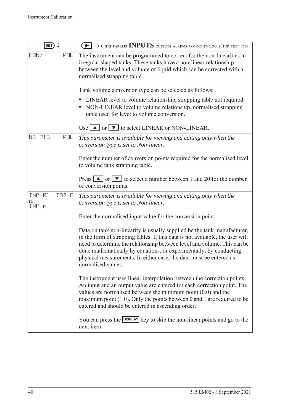| SET)                                 | $\rightarrow$ UNITS PARAMS INPUTS OUTPUTS ALARMS COMMS TM/LOG SETUP TEST END                                                                                                                                                                                                                                                                                                                            |
|--------------------------------------|---------------------------------------------------------------------------------------------------------------------------------------------------------------------------------------------------------------------------------------------------------------------------------------------------------------------------------------------------------------------------------------------------------|
| <b>CONV</b><br>$V \Box L$            | The instrument can be programmed to correct for the non-linearities in<br>irregular shaped tanks. These tanks have a non-linear relationship<br>between the level and volume of liquid which can be corrected with a<br>normalised strapping table.                                                                                                                                                     |
|                                      | Tank volume conversion type can be selected as follows:                                                                                                                                                                                                                                                                                                                                                 |
|                                      | LINEAR level to volume relationship, strapping table not required.<br>$\bullet$<br>NON-LINEAR level to volume relationship, normalised strapping<br>table used for level to volume conversion.                                                                                                                                                                                                          |
|                                      | Use $\Box$ or $\nabla$ to select LINEAR or NON-LINEAR.                                                                                                                                                                                                                                                                                                                                                  |
| NO-PIS<br>$V \Box L$                 | This parameter is available for viewing and editing only when the<br>conversion type is set to Non-linear.                                                                                                                                                                                                                                                                                              |
|                                      | Enter the number of conversion points required for the normalised level<br>to volume tank strapping table.                                                                                                                                                                                                                                                                                              |
|                                      | Press $\Box$ or $\nabla$ to select a number between 1 and 20 for the number<br>of conversion points.                                                                                                                                                                                                                                                                                                    |
| TABLE<br>$INP-Q1$<br>to<br>$INP - n$ | This parameter is available for viewing and editing only when the<br>conversion type is set to Non-linear.                                                                                                                                                                                                                                                                                              |
|                                      | Enter the normalised input value for the conversion point.                                                                                                                                                                                                                                                                                                                                              |
|                                      | Data on tank non-linearity is usually supplied be the tank manufacturer,<br>in the form of strapping tables. If this data is not available, the user will<br>need to determine the relationship between level and volume. This can be<br>done mathematically by equations, or experimentally, by conducting<br>physical measurements. In either case, the data must be entered as<br>normalised values. |
|                                      | The instrument uses linear interpolation between the correction points.<br>An input and an output value are entered for each correction point. The<br>values are normalised between the minimum point $(0.0)$ and the<br>maximum point $(1.0)$ . Only the points between 0 and 1 are required to be<br>entered and should be entered in ascending order.                                                |
|                                      | You can press the <b>DISPLAY</b> key to skip the non-linear points and go to the<br>next item.                                                                                                                                                                                                                                                                                                          |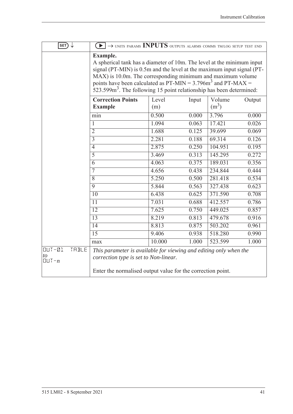| SET) $\downarrow$               | $\blacktriangleright$ $\rightarrow$ units params INPUTS outputs alarms comms tm/log setup test end                                                                                                                                                                                                                                                                      |                    |       |                             |        |
|---------------------------------|-------------------------------------------------------------------------------------------------------------------------------------------------------------------------------------------------------------------------------------------------------------------------------------------------------------------------------------------------------------------------|--------------------|-------|-----------------------------|--------|
|                                 | Example.<br>A spherical tank has a diameter of 10m. The level at the minimum input<br>signal (PT-MIN) is 0.5m and the level at the maximum input signal (PT-<br>MAX) is 10.0m. The corresponding minimum and maximum volume<br>points have been calculated as PT-MIN = $3.796m3$ and PT-MAX =<br>$523.599m3$ . The following 15 point relationship has been determined: |                    |       |                             |        |
|                                 | <b>Correction Points</b><br><b>Example</b>                                                                                                                                                                                                                                                                                                                              | Level<br>(m)       | Input | Volume<br>(m <sup>3</sup> ) | Output |
|                                 | min                                                                                                                                                                                                                                                                                                                                                                     | 0.500              | 0.000 | 3.796                       | 0.000  |
|                                 | $\mathbf{1}$                                                                                                                                                                                                                                                                                                                                                            | 1.094              | 0.063 | 17.421                      | 0.026  |
|                                 | $\overline{2}$                                                                                                                                                                                                                                                                                                                                                          | 1.688              | 0.125 | 39.699                      | 0.069  |
|                                 | $\overline{3}$                                                                                                                                                                                                                                                                                                                                                          | 2.281              | 0.188 | 69.314                      | 0.126  |
|                                 | $\overline{4}$                                                                                                                                                                                                                                                                                                                                                          | 2.875              | 0.250 | 104.951                     | 0.195  |
|                                 | $\overline{5}$                                                                                                                                                                                                                                                                                                                                                          | 3.469              | 0.313 | 145.295                     | 0.272  |
|                                 | $\overline{6}$                                                                                                                                                                                                                                                                                                                                                          | 4.063              | 0.375 | 189.031                     | 0.356  |
|                                 | $\overline{7}$                                                                                                                                                                                                                                                                                                                                                          | 4.656              | 0.438 | 234.844                     | 0.444  |
|                                 | $\overline{8}$                                                                                                                                                                                                                                                                                                                                                          | $\overline{5.250}$ | 0.500 | 281.418                     | 0.534  |
|                                 | $\overline{9}$                                                                                                                                                                                                                                                                                                                                                          | 5.844              | 0.563 | 327.438                     | 0.623  |
|                                 | $\overline{10}$                                                                                                                                                                                                                                                                                                                                                         | 6.438              | 0.625 | 371.590                     | 0.708  |
|                                 | $\overline{11}$                                                                                                                                                                                                                                                                                                                                                         | 7.031              | 0.688 | 412.557                     | 0.786  |
|                                 | $\overline{12}$                                                                                                                                                                                                                                                                                                                                                         | 7.625              | 0.750 | 449.025                     | 0.857  |
|                                 | $\overline{13}$                                                                                                                                                                                                                                                                                                                                                         | 8.219              | 0.813 | 479.678                     | 0.916  |
|                                 | $\overline{14}$                                                                                                                                                                                                                                                                                                                                                         | 8.813              | 0.875 | 503.202                     | 0.961  |
|                                 | $\overline{15}$                                                                                                                                                                                                                                                                                                                                                         | 9.406              | 0.938 | 518.280                     | 0.990  |
|                                 | max                                                                                                                                                                                                                                                                                                                                                                     | 10.000             | 1.000 | 523.599                     | 1.000  |
| $OUT-01$<br>TRBLE<br>to<br>[[]] | This parameter is available for viewing and editing only when the<br>correction type is set to Non-linear.<br>Enter the normalised output value for the correction point.                                                                                                                                                                                               |                    |       |                             |        |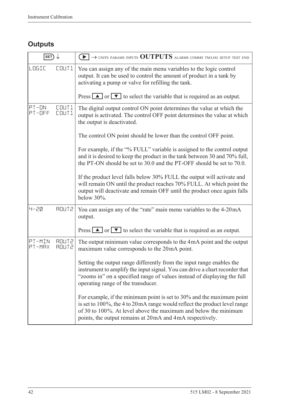# **Outputs**

| SET)                    |                              |                                                                                                                                                                                                                                                                                                                          |
|-------------------------|------------------------------|--------------------------------------------------------------------------------------------------------------------------------------------------------------------------------------------------------------------------------------------------------------------------------------------------------------------------|
| LOGIC                   | COUT1                        | You can assign any of the main menu variables to the logic control<br>output. It can be used to control the amount of product in a tank by<br>activating a pump or valve for refilling the tank.<br>Press $\boxed{\blacktriangle}$ or $\boxed{\blacktriangledown}$ to select the variable that is required as an output. |
| $PT - UN$<br>$PT - QFF$ | <b>COUT1</b><br><b>COUTI</b> | The digital output control ON point determines the value at which the<br>output is activated. The control OFF point determines the value at which<br>the output is deactivated.                                                                                                                                          |
|                         |                              | The control ON point should be lower than the control OFF point.                                                                                                                                                                                                                                                         |
|                         |                              | For example, if the "% FULL" variable is assigned to the control output<br>and it is desired to keep the product in the tank between 30 and 70% full,<br>the PT-ON should be set to 30.0 and the PT-OFF should be set to 70.0.                                                                                           |
|                         |                              | If the product level falls below 30% FULL the output will activate and<br>will remain ON until the product reaches 70% FULL. At which point the<br>output will deactivate and remain OFF until the product once again falls<br>below 30%.                                                                                |
| 4-20                    | STUDR                        | You can assign any of the "rate" main menu variables to the 4-20mA<br>output.                                                                                                                                                                                                                                            |
|                         |                              | Press $\boxed{\blacktriangle}$ or $\boxed{\blacktriangledown}$ to select the variable that is required as an output.                                                                                                                                                                                                     |
| PT-MIN<br>PT-MRX        | AOUT2<br><b>AOUT2</b>        | The output minimum value corresponds to the 4mA point and the output<br>maximum value corresponds to the 20mA point.                                                                                                                                                                                                     |
|                         |                              | Setting the output range differently from the input range enables the<br>instrument to amplify the input signal. You can drive a chart recorder that<br>"zooms in" on a specified range of values instead of displaying the full<br>operating range of the transducer.                                                   |
|                         |                              | For example, if the minimum point is set to 30% and the maximum point<br>is set to 100%, the 4 to 20 mA range would reflect the product level range<br>of 30 to 100%. At level above the maximum and below the minimum<br>points, the output remains at 20mA and 4mA respectively.                                       |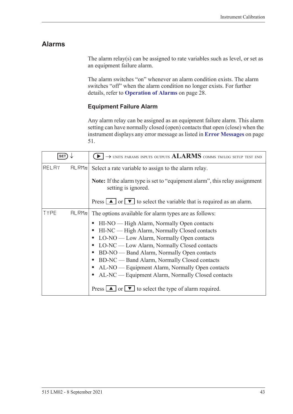## **Alarms**

The alarm relay(s) can be assigned to rate variables such as level, or set as an equipment failure alarm.

The alarm switches "on" whenever an alarm condition exists. The alarm switches "off" when the alarm condition no longer exists. For further details, refer to **[Operation of Alarms](#page-37-0)** on page 28[.](#page-37-0)

#### **Equipment Failure Alarm**

Any alarm relay can be assigned as an equipment failure alarm. This alarm setting can have normally closed (open) contacts that open (close) when the instrument displays any error message as listed in **[Error Messages](#page-60-0)** on page [51.](#page-60-0)

| <b>SET</b> |       | $\rightarrow$ units params inputs outputs $ALARMS$ comms tm/log setup test end                                      |  |
|------------|-------|---------------------------------------------------------------------------------------------------------------------|--|
| RELAY      | FLRMn | Select a rate variable to assign to the alarm relay.                                                                |  |
|            |       | <b>Note:</b> If the alarm type is set to "equipment alarm", this relay assignment<br>setting is ignored.            |  |
|            |       | Press $\boxed{\blacktriangle}$ or $\boxed{\blacktriangledown}$ to select the variable that is required as an alarm. |  |
| TYPE       | FLRMn | The options available for alarm types are as follows:                                                               |  |
|            |       | HI-NO — High Alarm, Normally Open contacts                                                                          |  |
|            |       | HI-NC — High Alarm, Normally Closed contacts                                                                        |  |
|            |       | LO-NO — Low Alarm, Normally Open contacts                                                                           |  |
|            |       | LO-NC — Low Alarm, Normally Closed contacts                                                                         |  |
|            |       | BD-NO — Band Alarm, Normally Open contacts                                                                          |  |
|            |       | BD-NC — Band Alarm, Normally Closed contacts                                                                        |  |
|            |       | AL-NO — Equipment Alarm, Normally Open contacts                                                                     |  |
|            |       | AL-NC — Equipment Alarm, Normally Closed contacts<br>$\bullet$                                                      |  |
|            |       | Press $\boxed{\triangle}$ or $\boxed{\triangledown}$ to select the type of alarm required.                          |  |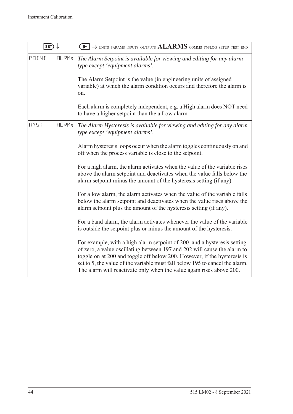| SET)        |       | $\rightarrow$ units params inputs outputs $ALARMS$ comms tm/log setup test end                                                                                                                                                                                                                                                                                                           |
|-------------|-------|------------------------------------------------------------------------------------------------------------------------------------------------------------------------------------------------------------------------------------------------------------------------------------------------------------------------------------------------------------------------------------------|
| POINT       | HLRMn | The Alarm Setpoint is available for viewing and editing for any alarm<br>type except 'equipment alarms'.                                                                                                                                                                                                                                                                                 |
|             |       | The Alarm Setpoint is the value (in engineering units of assigned<br>variable) at which the alarm condition occurs and therefore the alarm is<br>on.                                                                                                                                                                                                                                     |
|             |       | Each alarm is completely independent, e.g. a High alarm does NOT need<br>to have a higher setpoint than the a Low alarm.                                                                                                                                                                                                                                                                 |
| <b>HY5T</b> | HLRMn | The Alarm Hysteresis is available for viewing and editing for any alarm<br>type except 'equipment alarms'.                                                                                                                                                                                                                                                                               |
|             |       | Alarm hysteresis loops occur when the alarm toggles continuously on and<br>off when the process variable is close to the setpoint.                                                                                                                                                                                                                                                       |
|             |       | For a high alarm, the alarm activates when the value of the variable rises<br>above the alarm setpoint and deactivates when the value falls below the<br>alarm setpoint minus the amount of the hysteresis setting (if any).                                                                                                                                                             |
|             |       | For a low alarm, the alarm activates when the value of the variable falls<br>below the alarm setpoint and deactivates when the value rises above the<br>alarm setpoint plus the amount of the hysteresis setting (if any).                                                                                                                                                               |
|             |       | For a band alarm, the alarm activates whenever the value of the variable<br>is outside the setpoint plus or minus the amount of the hysteresis.                                                                                                                                                                                                                                          |
|             |       | For example, with a high alarm setpoint of 200, and a hysteresis setting<br>of zero, a value oscillating between 197 and 202 will cause the alarm to<br>toggle on at 200 and toggle off below 200. However, if the hysteresis is<br>set to 5, the value of the variable must fall below 195 to cancel the alarm.<br>The alarm will reactivate only when the value again rises above 200. |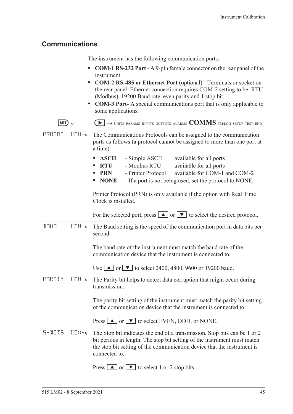## <span id="page-54-0"></span>**Communications**

The instrument has the following communication ports:

- **• COM-1 RS-232 Port** A 9-pin female connector on the rear panel of the instrument.
- **• COM-2 RS-485 or Ethernet Port** (optional) Terminals or socket on the rear panel. Ethernet connection requires COM-2 setting to be: RTU (Modbus), 19200 Baud rate, even parity and 1 stop bit.
- **• COM-3 Port** A special communications port that is only applicable to some applications.

| SET)                     | $\textcolor{blue}{\blacktriangleright} \rightarrow$ units params inputs outputs alarms $\textcolor{blue}{\mathbf{COMMS}}$ tmlog setup test end                                                                                                    |  |
|--------------------------|---------------------------------------------------------------------------------------------------------------------------------------------------------------------------------------------------------------------------------------------------|--|
| PROTOC<br>$CDM - n$      | The Communications Protocols can be assigned to the communication<br>ports as follows (a protocol cannot be assigned to more than one port at<br>a time):                                                                                         |  |
|                          | ASCII<br>- Simple ASCII<br>available for all ports<br>- Modbus RTU<br><b>RTU</b><br>available for all ports                                                                                                                                       |  |
|                          | <b>PRN</b><br>- Printer Protocol<br>available for COM-1 and COM-2<br><b>NONE</b><br>- If a port is not being used, set the protocol to NONE.                                                                                                      |  |
|                          | Printer Protocol (PRN) is only available if the option with Real Time<br>Clock is installed.                                                                                                                                                      |  |
|                          | For the selected port, press $\boxed{\blacktriangle}$ or $\boxed{\blacktriangledown}$ to select the desired protocol.                                                                                                                             |  |
| <b>BAUD</b><br>$CDM - n$ | The Baud setting is the speed of the communication port in data bits per<br>second.                                                                                                                                                               |  |
|                          | The baud rate of the instrument must match the baud rate of the<br>communication device that the instrument is connected to.                                                                                                                      |  |
|                          | Use $\blacksquare$ or $\blacksquare$ to select 2400, 4800, 9600 or 19200 baud.                                                                                                                                                                    |  |
| PARITY<br>$CDM - n$      | The Parity bit helps to detect data corruption that might occur during<br>transmission.                                                                                                                                                           |  |
|                          | The parity bit setting of the instrument must match the parity bit setting<br>of the communication device that the instrument is connected to.                                                                                                    |  |
|                          | Press $\Box$ or $\nabla$ to select EVEN, ODD, or NONE.                                                                                                                                                                                            |  |
| $5 - B175$<br>$CDM - n$  | The Stop bit indicates the end of a transmission. Stop bits can be 1 or 2<br>bit periods in length. The stop bit setting of the instrument must match<br>the stop bit setting of the communication device that the instrument is<br>connected to. |  |
|                          | Press $\boxed{\blacktriangle}$ or $\boxed{\blacktriangledown}$ to select 1 or 2 stop bits.                                                                                                                                                        |  |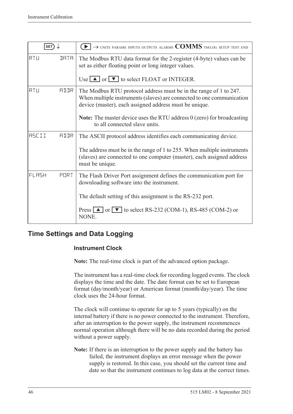| SET)         |             | $\rightarrow$ units params inputs outputs alarms $COMMS$ tm/log setup test end                                                                                                                                                                                                                                           |  |  |  |  |  |  |  |  |
|--------------|-------------|--------------------------------------------------------------------------------------------------------------------------------------------------------------------------------------------------------------------------------------------------------------------------------------------------------------------------|--|--|--|--|--|--|--|--|
| RTU          | <b>IRTR</b> | The Modbus RTU data format for the 2-register (4-byte) values can be<br>set as either floating point or long integer values.<br>Use $\Box$ or $\Box$ to select FLOAT or INTEGER.                                                                                                                                         |  |  |  |  |  |  |  |  |
| RTLI         | AIIR        | The Modbus RTU protocol address must be in the range of 1 to 247.<br>When multiple instruments (slaves) are connected to one communication<br>device (master), each assigned address must be unique.<br><b>Note:</b> The master device uses the RTU address $0$ (zero) for broadcasting<br>to all connected slave units. |  |  |  |  |  |  |  |  |
| <b>ASCII</b> | AIIR        | The ASCII protocol address identifies each communicating device.<br>The address must be in the range of 1 to 255. When multiple instruments<br>(slaves) are connected to one computer (master), each assigned address<br>must be unique.                                                                                 |  |  |  |  |  |  |  |  |
| FLASH        | PORT        | The Flash Driver Port assignment defines the communication port for<br>downloading software into the instrument.<br>The default setting of this assignment is the RS-232 port.<br>Press $\boxed{\blacktriangle}$ or $\boxed{\blacktriangledown}$ to select RS-232 (COM-1), RS-485 (COM-2) or<br>NONE.                    |  |  |  |  |  |  |  |  |

## **Time Settings and Data Logging**

#### **Instrument Clock**

**Note:** The real-time clock is part of the advanced option package.

The instrument has a real-time clock for recording logged events. The clock displays the time and the date. The date format can be set to European format (day/month/year) or American format (month/day/year). The time clock uses the 24-hour format.

The clock will continue to operate for up to 5 years (typically) on the internal battery if there is no power connected to the instrument. Therefore, after an interruption to the power supply, the instrument recommences normal operation although there will be no data recorded during the period without a power supply.

**Note:** If there is an interruption to the power supply and the battery has failed, the instrument displays an error message when the power supply is restored. In this case, you should set the current time and date so that the instrument continues to log data at the correct times.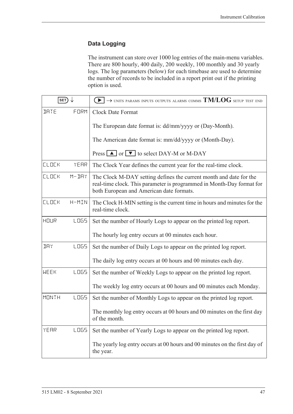#### **Data Logging**

The instrument can store over 1000 log entries of the main-menu variables. There are 800 hourly, 400 daily, 200 weekly, 100 monthly and 30 yearly logs. The log parameters (below) for each timebase are used to determine the number of records to be included in a report print out if the printing option is used.

| SET)         |             | $\blacktriangleright$ $\blacktriangleright$ UNITS PARAMS INPUTS OUTPUTS ALARMS COMMS <b>TM/LOG</b> SETUP TEST END                                                                       |  |  |  |  |  |  |  |  |
|--------------|-------------|-----------------------------------------------------------------------------------------------------------------------------------------------------------------------------------------|--|--|--|--|--|--|--|--|
| <b>JATE</b>  | FORM        | <b>Clock Date Format</b>                                                                                                                                                                |  |  |  |  |  |  |  |  |
|              |             | The European date format is: dd/mm/yyyy or (Day-Month).                                                                                                                                 |  |  |  |  |  |  |  |  |
|              |             | The American date format is: mm/dd/yyyy or (Month-Day).                                                                                                                                 |  |  |  |  |  |  |  |  |
|              |             | Press $\boxed{\blacktriangle}$ or $\boxed{\blacktriangledown}$ to select DAY-M or M-DAY                                                                                                 |  |  |  |  |  |  |  |  |
| <b>CLOCK</b> | YEAR        | The Clock Year defines the current year for the real-time clock.                                                                                                                        |  |  |  |  |  |  |  |  |
| <b>CLOCK</b> | $M - JHY$   | The Clock M-DAY setting defines the current month and date for the<br>real-time clock. This parameter is programmed in Month-Day format for<br>both European and American date formats. |  |  |  |  |  |  |  |  |
| <b>CLOCK</b> | H-MIN       | The Clock H-MIN setting is the current time in hours and minutes for the<br>real-time clock.                                                                                            |  |  |  |  |  |  |  |  |
| HOUR         | <b>LOGS</b> | Set the number of Hourly Logs to appear on the printed log report.                                                                                                                      |  |  |  |  |  |  |  |  |
|              |             | The hourly log entry occurs at 00 minutes each hour.                                                                                                                                    |  |  |  |  |  |  |  |  |
| <b>JAY</b>   | LO65        | Set the number of Daily Logs to appear on the printed log report.                                                                                                                       |  |  |  |  |  |  |  |  |
|              |             | The daily log entry occurs at 00 hours and 00 minutes each day.                                                                                                                         |  |  |  |  |  |  |  |  |
| <b>WEEK</b>  | LO65        | Set the number of Weekly Logs to appear on the printed log report.                                                                                                                      |  |  |  |  |  |  |  |  |
|              |             | The weekly log entry occurs at 00 hours and 00 minutes each Monday.                                                                                                                     |  |  |  |  |  |  |  |  |
| <b>MONTH</b> | LO65        | Set the number of Monthly Logs to appear on the printed log report.                                                                                                                     |  |  |  |  |  |  |  |  |
|              |             | The monthly log entry occurs at 00 hours and 00 minutes on the first day<br>of the month.                                                                                               |  |  |  |  |  |  |  |  |
| YEAR         | LO65        | Set the number of Yearly Logs to appear on the printed log report.                                                                                                                      |  |  |  |  |  |  |  |  |
|              |             | The yearly log entry occurs at 00 hours and 00 minutes on the first day of<br>the year.                                                                                                 |  |  |  |  |  |  |  |  |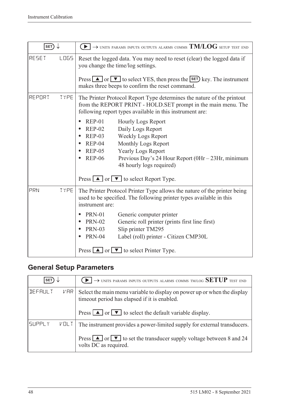| SET)                 | $\rightarrow$ units params inputs outputs alarms comms $\mathrm{TM/LOG}$ setup test end                                                                                                                                                                                                                                                                                                                                                                                                                                                                                                                                       |  |  |  |  |  |  |  |  |
|----------------------|-------------------------------------------------------------------------------------------------------------------------------------------------------------------------------------------------------------------------------------------------------------------------------------------------------------------------------------------------------------------------------------------------------------------------------------------------------------------------------------------------------------------------------------------------------------------------------------------------------------------------------|--|--|--|--|--|--|--|--|
| RESET<br><b>LOGS</b> | Reset the logged data. You may need to reset (clear) the logged data if<br>you change the time/log settings.<br>Press $\Box$ or $\nabla$ to select YES, then press the <b>SET</b> ) key. The instrument<br>makes three beeps to confirm the reset command.                                                                                                                                                                                                                                                                                                                                                                    |  |  |  |  |  |  |  |  |
| TYPE<br>REPORT       | The Printer Protocol Report Type determines the nature of the printout<br>from the REPORT PRINT - HOLD.SET prompt in the main menu. The<br>following report types available in this instrument are:<br><b>REP-01</b><br><b>Hourly Logs Report</b><br>$\bullet$<br><b>REP-02</b><br>Daily Logs Report<br><b>REP-03</b><br><b>Weekly Logs Report</b><br>REP-04<br>Monthly Logs Report<br><b>Yearly Logs Report</b><br><b>REP-05</b><br><b>REP-06</b><br>Previous Day's 24 Hour Report (0Hr - 23Hr, minimum<br>48 hourly logs required)<br>Press $\boxed{\blacktriangle}$ or $\boxed{\blacktriangledown}$ to select Report Type. |  |  |  |  |  |  |  |  |
| TYPE<br>PRN          | The Printer Protocol Printer Type allows the nature of the printer being<br>used to be specified. The following printer types available in this<br>instrument are:<br><b>PRN-01</b><br>Generic computer printer<br>$\bullet$<br>Generic roll printer (prints first line first)<br><b>PRN-02</b><br>Slip printer TM295<br><b>PRN-03</b><br><b>PRN-04</b><br>Label (roll) printer - Citizen CMP30L<br>$\bullet$<br>Press $\boxed{\blacktriangle}$ or $\boxed{\blacktriangledown}$ to select Printer Type.                                                                                                                       |  |  |  |  |  |  |  |  |

# <span id="page-57-0"></span>**General Setup Parameters**

| SET)                         |        | $\rightarrow$ UNITS PARAMS INPUTS OUTPUTS ALARMS COMMS TM/LOG SETUP TEST END                                                                                                                                                       |
|------------------------------|--------|------------------------------------------------------------------------------------------------------------------------------------------------------------------------------------------------------------------------------------|
| <b>JEFAULT</b>               | $V$ RR | Select the main menu variable to display on power up or when the display<br>timeout period has elapsed if it is enabled.<br>Press $\boxed{\blacktriangle}$ or $\boxed{\blacktriangledown}$ to select the default variable display. |
| <b>SUPPLY</b><br><b>VOLT</b> |        | The instrument provides a power-limited supply for external transducers.<br>Press $\Box$ or $\Box$ to set the transducer supply voltage between 8 and 24<br>volts DC as required.                                                  |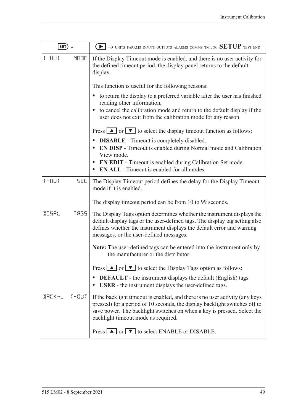| SET)                        | $\blacktriangleright$ $\rightarrow$ units params inputs outputs alarms comms tm/log $\operatorname{SETUP}$ test end                                                                                                                                                          |  |  |  |  |  |  |  |  |  |
|-----------------------------|------------------------------------------------------------------------------------------------------------------------------------------------------------------------------------------------------------------------------------------------------------------------------|--|--|--|--|--|--|--|--|--|
| MODE<br>$T - 111T$          | If the Display Timeout mode is enabled, and there is no user activity for<br>the defined timeout period, the display panel returns to the default<br>display.                                                                                                                |  |  |  |  |  |  |  |  |  |
|                             | This function is useful for the following reasons:                                                                                                                                                                                                                           |  |  |  |  |  |  |  |  |  |
|                             | to return the display to a preferred variable after the user has finished<br>$\bullet$<br>reading other information,<br>to cancel the calibration mode and return to the default display if the<br>user does not exit from the calibration mode for any reason.              |  |  |  |  |  |  |  |  |  |
|                             | Press $\Box$ or $\nabla$ to select the display timeout function as follows:                                                                                                                                                                                                  |  |  |  |  |  |  |  |  |  |
|                             | <b>DISABLE</b> - Timeout is completely disabled.<br>$\bullet$<br><b>EN DISP</b> - Timeout is enabled during Normal mode and Calibration<br>View mode.                                                                                                                        |  |  |  |  |  |  |  |  |  |
|                             | <b>EN EDIT</b> - Timeout is enabled during Calibration Set mode.<br><b>EN ALL</b> - Timeout is enabled for all modes.                                                                                                                                                        |  |  |  |  |  |  |  |  |  |
| <b>SEC</b><br>$T - 11T$     | The Display Timeout period defines the delay for the Display Timeout<br>mode if it is enabled.                                                                                                                                                                               |  |  |  |  |  |  |  |  |  |
|                             | The display timeout period can be from 10 to 99 seconds.                                                                                                                                                                                                                     |  |  |  |  |  |  |  |  |  |
| <b>IISPL</b><br><b>TRGS</b> | The Display Tags option determines whether the instrument displays the<br>default display tags or the user-defined tags. The display tag setting also<br>defines whether the instrument displays the default error and warning<br>messages, or the user-defined messages.    |  |  |  |  |  |  |  |  |  |
|                             | Note: The user-defined tags can be entered into the instrument only by<br>the manufacturer or the distributor.                                                                                                                                                               |  |  |  |  |  |  |  |  |  |
|                             | Press $\Box$ or $\nabla$ to select the Display Tags option as follows:                                                                                                                                                                                                       |  |  |  |  |  |  |  |  |  |
|                             | <b>DEFAULT</b> - the instrument displays the default (English) tags<br>$\bullet$<br>USER - the instrument displays the user-defined tags.                                                                                                                                    |  |  |  |  |  |  |  |  |  |
| $B H E K - L$<br>$T - 11T$  | If the backlight timeout is enabled, and there is no user activity (any keys<br>pressed) for a period of 10 seconds, the display backlight switches off to<br>save power. The backlight switches on when a key is pressed. Select the<br>backlight timeout mode as required. |  |  |  |  |  |  |  |  |  |
|                             | Press $\Box$ or $\nabla$ to select ENABLE or DISABLE.                                                                                                                                                                                                                        |  |  |  |  |  |  |  |  |  |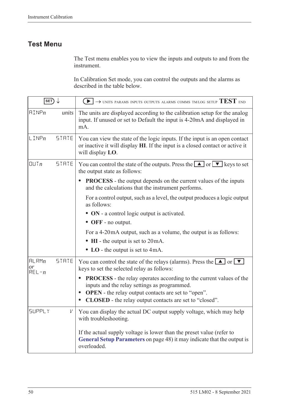## **Test Menu**

The Test menu enables you to view the inputs and outputs to and from the instrument.

In Calibration Set mode, you can control the outputs and the alarms as described in the table below.

| $\overline{\text{SET}}$  |              | $\blacktriangleright$ $\blacktriangleright$ $\dashv$ units params inputs outputs alarms comms tm/log setup $\text{TEST}$ end                                                                                                                                     |
|--------------------------|--------------|------------------------------------------------------------------------------------------------------------------------------------------------------------------------------------------------------------------------------------------------------------------|
| $\text{HIMP}_n$          | units        | The units are displayed according to the calibration setup for the analog<br>input. If unused or set to Default the input is 4-20mA and displayed in<br>mA.                                                                                                      |
| $L$ INP $n$              | STRTE        | You can view the state of the logic inputs. If the input is an open contact<br>or inactive it will display HI. If the input is a closed contact or active it<br>will display LO.                                                                                 |
| UITn                     | <b>STRTE</b> | You can control the state of the outputs. Press the $\Box$ or $\nabla$ keys to set<br>the output state as follows:                                                                                                                                               |
|                          |              | <b>PROCESS</b> - the output depends on the current values of the inputs<br>and the calculations that the instrument performs.                                                                                                                                    |
|                          |              | For a control output, such as a level, the output produces a logic output<br>as follows:                                                                                                                                                                         |
|                          |              | • ON - a control logic output is activated.                                                                                                                                                                                                                      |
|                          |              | • OFF - no output.                                                                                                                                                                                                                                               |
|                          |              | For a 4-20 mA output, such as a volume, the output is as follows:                                                                                                                                                                                                |
|                          |              | • HI - the output is set to 20mA.                                                                                                                                                                                                                                |
|                          |              | • LO - the output is set to 4mA.                                                                                                                                                                                                                                 |
| HLRMn<br>or<br>$REL - n$ | <b>STRTE</b> | You can control the state of the relays (alarms). Press the $\Box$ or $\nabla$<br>keys to set the selected relay as follows:                                                                                                                                     |
|                          |              | <b>PROCESS</b> - the relay operates according to the current values of the<br>inputs and the relay settings as programmed.<br><b>OPEN</b> - the relay output contacts are set to "open".<br>$\bullet$<br>CLOSED - the relay output contacts are set to "closed". |
| <b>SUPPLY</b>            | V            | You can display the actual DC output supply voltage, which may help<br>with troubleshooting.                                                                                                                                                                     |
|                          |              | If the actual supply voltage is lower than the preset value (refer to<br>General Setup Parameters on page 48) it may indicate that the output is<br>overloaded.                                                                                                  |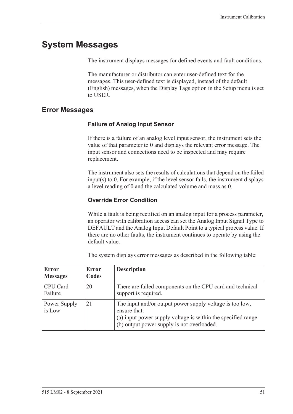# **System Messages**

The instrument displays messages for defined events and fault conditions.

The manufacturer or distributor can enter user-defined text for the messages. This user-defined text is displayed, instead of the default (English) messages, when the Display Tags option in the Setup menu is set to USER.

## <span id="page-60-0"></span>**Error Messages**

#### **Failure of Analog Input Sensor**

If there is a failure of an analog level input sensor, the instrument sets the value of that parameter to 0 and displays the relevant error message. The input sensor and connections need to be inspected and may require replacement.

The instrument also sets the results of calculations that depend on the failed input(s) to 0. For example, if the level sensor fails, the instrument displays a level reading of 0 and the calculated volume and mass as 0.

## **Override Error Condition**

While a fault is being rectified on an analog input for a process parameter, an operator with calibration access can set the Analog Input Signal Type to DEFAULT and the Analog Input Default Point to a typical process value. If there are no other faults, the instrument continues to operate by using the default value.

| <b>Error</b><br><b>Messages</b> | Error<br>Codes | <b>Description</b>                                                                                                                                                                     |
|---------------------------------|----------------|----------------------------------------------------------------------------------------------------------------------------------------------------------------------------------------|
| CPU Card<br>Failure             | 20             | There are failed components on the CPU card and technical<br>support is required.                                                                                                      |
| Power Supply<br>is Low          | 21             | The input and/or output power supply voltage is too low,<br>ensure that:<br>(a) input power supply voltage is within the specified range<br>(b) output power supply is not overloaded. |

The system displays error messages as described in the following table: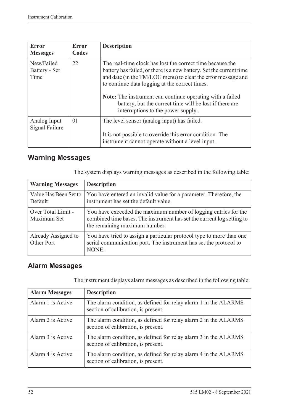| <b>Error</b><br><b>Messages</b>     | Error<br>Codes | <b>Description</b>                                                                                                                                                                                                                                                                                                                                                                                                      |
|-------------------------------------|----------------|-------------------------------------------------------------------------------------------------------------------------------------------------------------------------------------------------------------------------------------------------------------------------------------------------------------------------------------------------------------------------------------------------------------------------|
| New/Failed<br>Battery - Set<br>Time | 22             | The real-time clock has lost the correct time because the<br>battery has failed, or there is a new battery. Set the current time<br>and date (in the TM/LOG menu) to clear the error message and<br>to continue data logging at the correct times.<br><b>Note:</b> The instrument can continue operating with a failed<br>battery, but the correct time will be lost if there are<br>interruptions to the power supply. |
| Analog Input<br>Signal Failure      | 01             | The level sensor (analog input) has failed.<br>It is not possible to override this error condition. The<br>instrument cannot operate without a level input.                                                                                                                                                                                                                                                             |

## **Warning Messages**

The system displays warning messages as described in the following table:

| <b>Warning Messages</b>           | <b>Description</b>                                                                                                                                                         |  |  |  |  |  |  |  |
|-----------------------------------|----------------------------------------------------------------------------------------------------------------------------------------------------------------------------|--|--|--|--|--|--|--|
| Value Has Been Set to<br>Default  | You have entered an invalid value for a parameter. Therefore, the<br>instrument has set the default value.                                                                 |  |  |  |  |  |  |  |
| Over Total Limit -<br>Maximum Set | You have exceeded the maximum number of logging entries for the<br>combined time bases. The instrument has set the current log setting to<br>the remaining maximum number. |  |  |  |  |  |  |  |
| Already Assigned to<br>Other Port | You have tried to assign a particular protocol type to more than one<br>serial communication port. The instrument has set the protocol to<br>NONE.                         |  |  |  |  |  |  |  |

## **Alarm Messages**

The instrument displays alarm messages as described in the following table:

| <b>Alarm Messages</b> | <b>Description</b>                                                                                     |  |  |  |  |  |  |
|-----------------------|--------------------------------------------------------------------------------------------------------|--|--|--|--|--|--|
| Alarm 1 is Active     | The alarm condition, as defined for relay alarm 1 in the ALARMS<br>section of calibration, is present. |  |  |  |  |  |  |
| Alarm 2 is Active     | The alarm condition, as defined for relay alarm 2 in the ALARMS<br>section of calibration, is present. |  |  |  |  |  |  |
| Alarm 3 is Active     | The alarm condition, as defined for relay alarm 3 in the ALARMS<br>section of calibration, is present. |  |  |  |  |  |  |
| Alarm 4 is Active     | The alarm condition, as defined for relay alarm 4 in the ALARMS<br>section of calibration, is present. |  |  |  |  |  |  |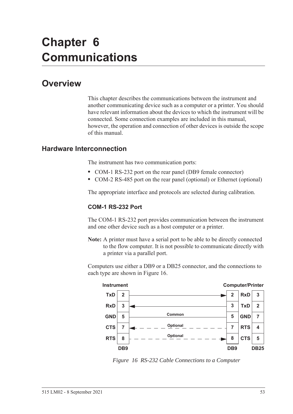# **Chapter 6 Communications**

# **Overview**

This chapter describes the communications between the instrument and another communicating device such as a computer or a printer. You should have relevant information about the devices to which the instrument will be connected. Some connection examples are included in this manual, however, the operation and connection of other devices is outside the scope of this manual.

## **Hardware Interconnection**

The instrument has two communication ports:

- **•** COM-1 RS-232 port on the rear panel (DB9 female connector)
- **•** COM-2 RS-485 port on the rear panel (optional) or Ethernet (optional)

The appropriate interface and protocols are selected during calibration.

#### **COM-1 RS-232 Port**

The COM-1 RS-232 port provides communication between the instrument and one other device such as a host computer or a printer.

**Note:** A printer must have a serial port to be able to be directly connected to the flow computer. It is not possible to communicate directly with a printer via a parallel port.

Computers use either a DB9 or a DB25 connector, and the connections to each type are shown in [Figure 16.](#page-62-0)



<span id="page-62-0"></span>*Figure 16 RS-232 Cable Connections to a Computer*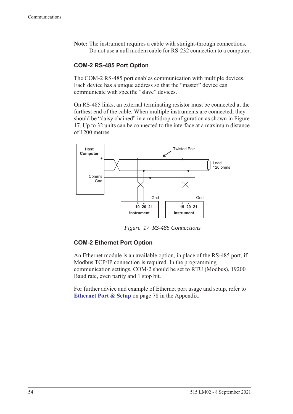**Note:** The instrument requires a cable with straight-through connections. Do not use a null modem cable for RS-232 connection to a computer.

#### **COM-2 RS-485 Port Option**

The COM-2 RS-485 port enables communication with multiple devices. Each device has a unique address so that the "master" device can communicate with specific "slave" devices.

On RS-485 links, an external terminating resistor must be connected at the furthest end of the cable. When multiple instruments are connected, they should be "daisy chained" in a multidrop configuration as shown in Figure [17](#page-63-0). Up to 32 units can be connected to the interface at a maximum distance of 1200 metres.



*Figure 17 RS-485 Connections*

#### <span id="page-63-0"></span>**COM-2 Ethernet Port Option**

An Ethernet module is an available option, in place of the RS-485 port, if Modbus TCP/IP connection is required. In the programming communication settings, COM-2 should be set to RTU (Modbus), 19200 Baud rate, even parity and 1 stop bit.

For further advice and example of Ethernet port usage and setup, refer to **[Ethernet Port & Setup](#page-87-0)** on page 78 in the Appendix.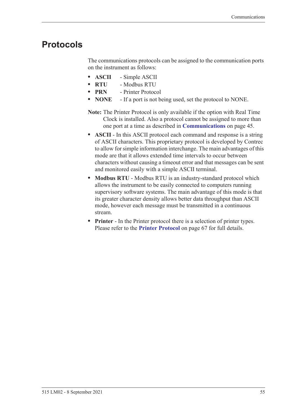## **Protocols**

The communications protocols can be assigned to the communication ports on the instrument as follows:

- **• ASCII** Simple ASCII
- **• RTU** Modbus RTU
- **• PRN** Printer Protocol
- **• NONE** If a port is not being used, set the protocol to NONE.
- **Note:** The Printer Protocol is only available if the option with Real Time Clock is installed. Also a protocol cannot be assigned to more than one port at a time as described in **[Communications](#page-54-0)** on page 45.
- **• ASCII** In this ASCII protocol each command and response is a string of ASCII characters. This proprietary protocol is developed by Contrec to allow for simple information interchange. The main advantages of this mode are that it allows extended time intervals to occur between characters without causing a timeout error and that messages can be sent and monitored easily with a simple ASCII terminal.
- **• Modbus RTU** Modbus RTU is an industry-standard protocol which allows the instrument to be easily connected to computers running supervisory software systems. The main advantage of this mode is that its greater character density allows better data throughput than ASCII mode, however each message must be transmitted in a continuous stream.
- **• Printer** In the Printer protocol there is a selection of printer types. Please refer to the **[Printer Protocol](#page-76-0)** on page 67 for full details.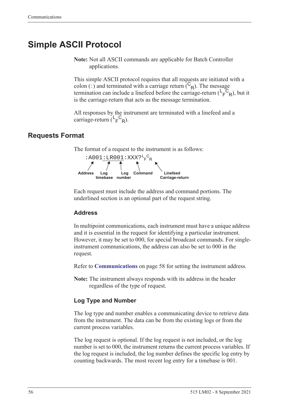# **Simple ASCII Protocol**

**Note:** Not all ASCII commands are applicable for Batch Controller applications.

This simple ASCII protocol requires that all requests are initiated with a colon (:) and terminated with a carriage return  $\binom{C_R}{R}$ . The message termination can include a linefeed before the carriage-return  $(\mathsf{L}_\mathsf{F}^\mathsf{C}(\mathsf{R})$ , but it is the carriage-return that acts as the message termination.

All responses by the instrument are terminated with a linefeed and a carriage-return  $\left( {}^{\mathsf{L}}_F\right)^{\mathsf{C}}$ <sub>F</sub> $\right)$ .

## **Requests Format**

The format of a request to the instrument is as follows:



Each request must include the address and command portions. The underlined section is an optional part of the request string.

#### **Address**

In multipoint communications, each instrument must have a unique address and it is essential in the request for identifying a particular instrument. However, it may be set to 000, for special broadcast commands. For singleinstrument communications, the address can also be set to 000 in the request.

Refer to **Communications** on page 58 for setting the instrument address.

**Note:** The instrument always responds with its address in the header regardless of the type of request.

## **Log Type and Number**

The log type and number enables a communicating device to retrieve data from the instrument. The data can be from the existing logs or from the current process variables.

The log request is optional. If the log request is not included, or the log number is set to 000, the instrument returns the current process variables. If the log request is included, the log number defines the specific log entry by counting backwards. The most recent log entry for a timebase is 001.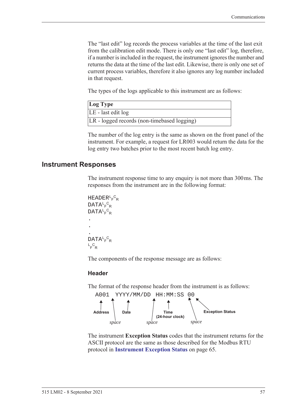The "last edit" log records the process variables at the time of the last exit from the calibration edit mode. There is only one "last edit" log, therefore, if a number is included in the request, the instrument ignores the number and returns the data at the time of the last edit. Likewise, there is only one set of current process variables, therefore it also ignores any log number included in that request.

The types of the logs applicable to this instrument are as follows:

| Log Type                                    |
|---------------------------------------------|
| LE - last edit log                          |
| LR - logged records (non-timebased logging) |

The number of the log entry is the same as shown on the front panel of the instrument. For example, a request for LR003 would return the data for the log entry two batches prior to the most recent batch log entry.

#### **Instrument Responses**

The instrument response time to any enquiry is not more than 300 ms. The responses from the instrument are in the following format:

```
HEADER<sup>L</sup>F<sup>C</sup>R
DATA<sup>L</sup>F<sup>C</sup>R
DATA<sup>L</sup>F<sup>C</sup>R
.
.
.
DATA<sup>L</sup>F<sup>C</sup>R
L_p^CR
```
The components of the response message are as follows:

#### **Header**

The format of the response header from the instrument is as follows:



The instrument **Exception Status** codes that the instrument returns for the ASCII protocol are the same as those described for the Modbus RTU protocol in **[Instrument Exception Status](#page-74-1)** on page 65.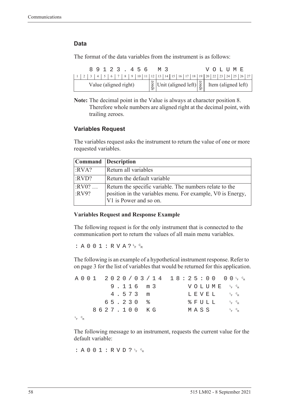#### **Data**

The format of the data variables from the instrument is as follows:

|                       |  |  |  |  |  |  |  | 89123.456                                                                                                                                                     |  |  |  |  |  |  | VOLUME |  |  |
|-----------------------|--|--|--|--|--|--|--|---------------------------------------------------------------------------------------------------------------------------------------------------------------|--|--|--|--|--|--|--------|--|--|
|                       |  |  |  |  |  |  |  |                                                                                                                                                               |  |  |  |  |  |  |        |  |  |
| Value (aligned right) |  |  |  |  |  |  |  | $\begin{bmatrix} \frac{9}{8} \\ \frac{6}{8} \end{bmatrix}$ Unit (aligned left) $\begin{bmatrix} \frac{9}{8} \\ \frac{6}{8} \end{bmatrix}$ Item (aligned left) |  |  |  |  |  |  |        |  |  |

**Note:** The decimal point in the Value is always at character position 8. Therefore whole numbers are aligned right at the decimal point, with trailing zeroes.

#### **Variables Request**

The variables request asks the instrument to return the value of one or more requested variables.

| Command Description                |                                                                                                                                                 |
|------------------------------------|-------------------------------------------------------------------------------------------------------------------------------------------------|
| $\mathsf{RVA?}$                    | Return all variables                                                                                                                            |
| :RVD?                              | Return the default variable                                                                                                                     |
| $\vert :RV0? \dots \vert$<br>:RV9? | Return the specific variable. The numbers relate to the<br>position in the variables menu. For example, V0 is Energy,<br>V1 is Power and so on. |

#### **Variables Request and Response Example**

The following request is for the only instrument that is connected to the communication port to return the values of all main menu variables.

: A 0 0 1 : R V A ?  $L_F$   $C_R$ 

The following is an example of a hypothetical instrument response. Refer to on page 3 for the list of variables that would be returned for this application.

A001 2020/03/14 18:25:00  $F$   $\circ$ <sub>R</sub> 9.116 m3 VOLUME <sup>F</sup> <sup>C</sup> R 4.573 m LEVEL <sup>L</sup>  $F$   $\circ$ R 65.230 % %FULL <sup>L</sup>  $F$   $\circ$ <sub>R</sub> 8627.100 KG MASS <sup>L</sup> <sup>F</sup> <sup>C</sup> R L <sup>F</sup> <sup>C</sup> R

The following message to an instrument, requests the current value for the default variable:

: A 0 0 1 : R V D ?  $L_F$   $C_R$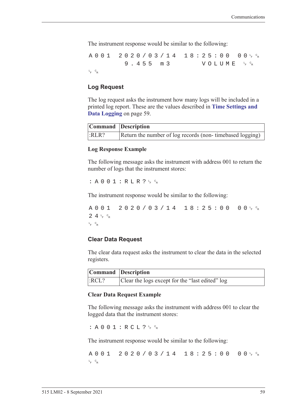The instrument response would be similar to the following:

A001 2020/03/14 18:25:00 <sup>F</sup> <sup>C</sup> R  $9.455$  m 3  $F$   $\circ$ R L <sup>F</sup> <sup>C</sup> R

#### **Log Request**

The log request asks the instrument how many logs will be included in a printed log report. These are the values described in **Time Settings and Data Logging** on page 59.

|      | Command Description                                      |
|------|----------------------------------------------------------|
| RLR? | Return the number of log records (non-timebased logging) |

#### **Log Response Example**

The following message asks the instrument with address 001 to return the number of logs that the instrument stores:

 $: A 0 0 1 : R L R ? \nmid R$ 

The instrument response would be similar to the following:

A001 2020/03/14 18:25:00  $F$   $\circ$ R  $24r$ <sub>F</sub>  $c_R$ L <sup>F</sup> <sup>C</sup> R

#### **Clear Data Request**

The clear data request asks the instrument to clear the data in the selected registers.

|      | Command Description                             |
|------|-------------------------------------------------|
| RCL? | Clear the logs except for the "last edited" log |

#### **Clear Data Request Example**

The following message asks the instrument with address 001 to clear the logged data that the instrument stores:

: A 0 0 1 : R C L ?  $L_F$   $c_R$ 

The instrument response would be similar to the following:

A001 2020/03/14 18:25:00  $F$   $C_R$ L <sup>F</sup> <sup>C</sup> R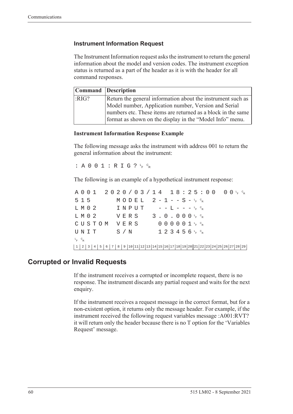#### **Instrument Information Request**

The Instrument Information request asks the instrument to return the general information about the model and version codes. The instrument exception status is returned as a part of the header as it is with the header for all command responses.

|                                                                     | Command Description                                          |  |  |  |
|---------------------------------------------------------------------|--------------------------------------------------------------|--|--|--|
| RIG?<br>Return the general information about the instrument such as |                                                              |  |  |  |
|                                                                     | Model number, Application number, Version and Serial         |  |  |  |
|                                                                     | numbers etc. These items are returned as a block in the same |  |  |  |
|                                                                     | format as shown on the display in the "Model Info" menu.     |  |  |  |

#### **Instrument Information Response Example**

The following message asks the instrument with address 001 to return the general information about the instrument:

 $: A 0 0 1 : R I G ? \nvert F \nvert R$ 

The following is an example of a hypothetical instrument response:

|             | A 0 0 1 2 0 2 0 / 0 3 / 1 4 1 8 : 2 5 : 0 0 0 0 0 F CR                                                                                |  |  |  |  |  |  |  |                                           |  |  |  |  |  |  |
|-------------|---------------------------------------------------------------------------------------------------------------------------------------|--|--|--|--|--|--|--|-------------------------------------------|--|--|--|--|--|--|
|             | 5 1 5                                                                                                                                 |  |  |  |  |  |  |  | $M$ O D E L 2 - 1 - - S - $L_{F}$ $C_{R}$ |  |  |  |  |  |  |
|             | $LMO2$ INPUT $- - L - - - \frac{1}{2} C_R$                                                                                            |  |  |  |  |  |  |  |                                           |  |  |  |  |  |  |
|             | $L M O 2$ $V ER S$ 3.0.000 <sup><math>L F R R</math></sup>                                                                            |  |  |  |  |  |  |  |                                           |  |  |  |  |  |  |
|             | CUSTOM VERS $0000014R$                                                                                                                |  |  |  |  |  |  |  |                                           |  |  |  |  |  |  |
|             | UNIT                                                                                                                                  |  |  |  |  |  |  |  | $S/N$ 123456 $L_{R}^{C}$                  |  |  |  |  |  |  |
| $L_F$ $C_R$ |                                                                                                                                       |  |  |  |  |  |  |  |                                           |  |  |  |  |  |  |
|             | 1   2   3   4   5   6   7   8   9   10   11   12   13   14   15   16   17   18   19   20   21   22   23   24   25   26   27   28   29 |  |  |  |  |  |  |  |                                           |  |  |  |  |  |  |

## **Corrupted or Invalid Requests**

If the instrument receives a corrupted or incomplete request, there is no response. The instrument discards any partial request and waits for the next enquiry.

If the instrument receives a request message in the correct format, but for a non-existent option, it returns only the message header. For example, if the instrument received the following request variables message :A001:RVT? it will return only the header because there is no T option for the 'Variables Request' message.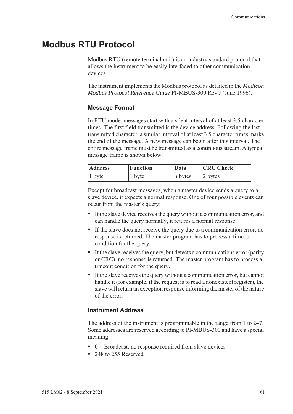# **Modbus RTU Protocol**

Modbus RTU (remote terminal unit) is an industry standard protocol that allows the instrument to be easily interfaced to other communication devices.

The instrument implements the Modbus protocol as detailed in the *Modicon Modbus Protocol Reference Guide* PI-MBUS-300 Rev J (June 1996).

#### **Message Format**

In RTU mode, messages start with a silent interval of at least 3.5 character times. The first field transmitted is the device address. Following the last transmitted character, a similar interval of at least 3.5 character times marks the end of the message. A new message can begin after this interval. The entire message frame must be transmitted as a continuous stream. A typical message frame is shown below:

| <b>Address</b> | <b>Function</b> | Data    | <b>CRC</b> Check |
|----------------|-----------------|---------|------------------|
| $ 1$ byte      | 1 byte          | n bytes | 2 bytes          |

Except for broadcast messages, when a master device sends a query to a slave device, it expects a normal response. One of four possible events can occur from the master's query:

- **•** If the slave device receives the query without a communication error, and can handle the query normally, it returns a normal response.
- **•** If the slave does not receive the query due to a communication error, no response is returned. The master program has to process a timeout condition for the query.
- **•** If the slave receives the query, but detects a communications error (parity or CRC), no response is returned. The master program has to process a timeout condition for the query.
- **•** If the slave receives the query without a communication error, but cannot handle it (for example, if the request is to read a nonexistent register), the slave will return an exception response informing the master of the nature of the error.

#### **Instrument Address**

The address of the instrument is programmable in the range from 1 to 247. Some addresses are reserved according to PI-MBUS-300 and have a special meaning:

- 0 = Broadcast, no response required from slave devices
- **•** 248 to 255 Reserved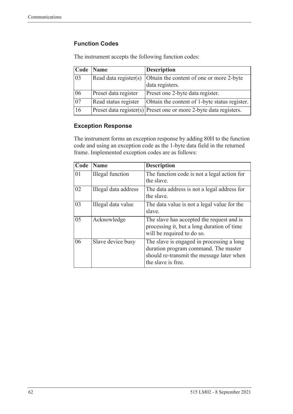#### **Function Codes**

| Code            | <b>Name</b>           | <b>Description</b>                                                    |
|-----------------|-----------------------|-----------------------------------------------------------------------|
| 03              | Read data register(s) | Obtain the content of one or more 2-byte<br>data registers.           |
| 06              | Preset data register  | Preset one 2-byte data register.                                      |
| $\overline{07}$ | Read status register  | Obtain the content of 1-byte status register.                         |
| 16              |                       | $ $ Preset data register(s) Preset one or more 2-byte data registers. |

The instrument accepts the following function codes:

#### **Exception Response**

The instrument forms an exception response by adding 80H to the function code and using an exception code as the 1-byte data field in the returned frame. Implemented exception codes are as follows:

| Code | <b>Name</b>          | <b>Description</b>                                                                                                                                   |
|------|----------------------|------------------------------------------------------------------------------------------------------------------------------------------------------|
| 01   | Illegal function     | The function code is not a legal action for<br>the slave.                                                                                            |
| 02   | Illegal data address | The data address is not a legal address for<br>the slave.                                                                                            |
| 03   | Illegal data value   | The data value is not a legal value for the<br>slave.                                                                                                |
| 05   | Acknowledge          | The slave has accepted the request and is<br>processing it, but a long duration of time<br>will be required to do so.                                |
| 06   | Slave device busy    | The slave is engaged in processing a long<br>duration program command. The master<br>should re-transmit the message later when<br>the slave is free. |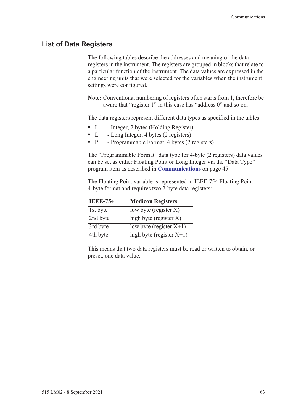### **List of Data Registers**

The following tables describe the addresses and meaning of the data registers in the instrument. The registers are grouped in blocks that relate to a particular function of the instrument. The data values are expressed in the engineering units that were selected for the variables when the instrument settings were configured.

**Note:** Conventional numbering of registers often starts from 1, therefore be aware that "register 1" in this case has "address 0" and so on.

The data registers represent different data types as specified in the tables:

- I Integer, 2 bytes (Holding Register)
- L Long Integer, 4 bytes (2 registers)
- P Programmable Format, 4 bytes (2 registers)

The "Programmable Format" data type for 4-byte (2 registers) data values can be set as either Floating Point or Long Integer via the "Data Type" program item as described in **[Communications](#page-54-0)** on page 45.

The Floating Point variable is represented in IEEE-754 Floating Point 4-byte format and requires two 2-byte data registers:

| <b>IEEE-754</b> | <b>Modicon Registers</b>    |
|-----------------|-----------------------------|
| 1st byte        | low byte (register $X$ )    |
| 2nd byte        | high byte (register X)      |
| 3rd byte        | $ low byte (register X+1) $ |
| 4th byte        | high byte (register $X+1$ ) |

This means that two data registers must be read or written to obtain, or preset, one data value.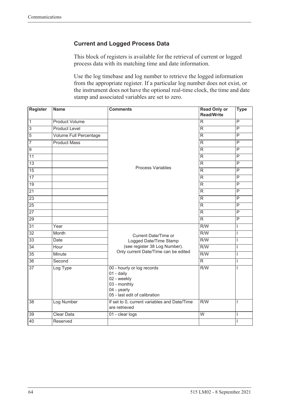### **Current and Logged Process Data**

This block of registers is available for the retrieval of current or logged process data with its matching time and date information.

Use the log timebase and log number to retrieve the logged information from the appropriate register. If a particular log number does not exist, or the instrument does not have the optional real-time clock, the time and date stamp and associated variables are set to zero.

| <b>Register</b> | <b>Name</b>            | <b>Comments</b>                                                                                                                  | <b>Read Only or</b><br><b>Read/Write</b> | <b>Type</b>             |
|-----------------|------------------------|----------------------------------------------------------------------------------------------------------------------------------|------------------------------------------|-------------------------|
| $\overline{1}$  | <b>Product Volume</b>  |                                                                                                                                  | $\overline{\mathsf{R}}$                  | $\overline{\mathsf{P}}$ |
| $\overline{3}$  | <b>Product Level</b>   |                                                                                                                                  | $\overline{R}$                           | $\overline{\mathsf{P}}$ |
| $\overline{5}$  | Volume Full Percentage |                                                                                                                                  | $\overline{R}$                           | $\overline{\mathsf{P}}$ |
| $\overline{7}$  | <b>Product Mass</b>    |                                                                                                                                  | $\overline{\mathsf{R}}$                  | $\overline{\mathsf{P}}$ |
| $\overline{9}$  |                        |                                                                                                                                  | $\mathsf{R}$                             | $\overline{P}$          |
| $\overline{11}$ |                        |                                                                                                                                  | $\mathsf{R}$                             | $\overline{P}$          |
| $\overline{13}$ |                        |                                                                                                                                  | $\overline{\mathsf{R}}$                  | $\overline{\mathsf{P}}$ |
| 15              |                        | <b>Process Variables</b>                                                                                                         | $\overline{\mathsf{R}}$                  | $\overline{\mathsf{P}}$ |
| $\overline{17}$ |                        |                                                                                                                                  | $\overline{R}$                           | P                       |
| 19              |                        |                                                                                                                                  | $\overline{R}$                           | P                       |
| $\overline{21}$ |                        |                                                                                                                                  | $\overline{R}$                           | $\overline{P}$          |
| $\overline{23}$ |                        |                                                                                                                                  | $\overline{R}$                           | $\overline{P}$          |
| $\overline{25}$ |                        |                                                                                                                                  | $\overline{R}$                           | $\overline{P}$          |
| $\overline{27}$ |                        |                                                                                                                                  | ${\sf R}$                                | $\overline{P}$          |
| $\overline{29}$ |                        |                                                                                                                                  | $\overline{\mathsf{R}}$                  | $\overline{\mathsf{P}}$ |
| $\overline{31}$ | Year                   |                                                                                                                                  | R/W                                      |                         |
| $\overline{32}$ | Month                  | Current Date/Time or                                                                                                             | $\overline{R/W}$                         |                         |
| $\overline{33}$ | <b>Date</b>            | Logged Date/Time Stamp                                                                                                           | $\overline{R/W}$                         | I                       |
| $\overline{34}$ | Hour                   | (see register 38 Log Number).                                                                                                    | $\overline{R/W}$                         |                         |
| $\overline{35}$ | Minute                 | Only current Date/Time can be edited                                                                                             | R/W                                      | I                       |
| $\overline{36}$ | Second                 |                                                                                                                                  | $\overline{\mathsf{R}}$                  | I                       |
| $\overline{37}$ | Log Type               | 00 - hourly or log records<br>$01 - \text{daily}$<br>02 - weekly<br>03 - monthly<br>04 - yearly<br>05 - last edit of calibration | R/W                                      | L                       |
| 38              | Log Number             | If set to 0, current variables and Date/Time<br>are retrieved                                                                    | R/W                                      |                         |
| 39              | <b>Clear Data</b>      | 01 - clear logs                                                                                                                  | $\overline{W}$                           | I                       |
| 40              | Reserved               |                                                                                                                                  |                                          |                         |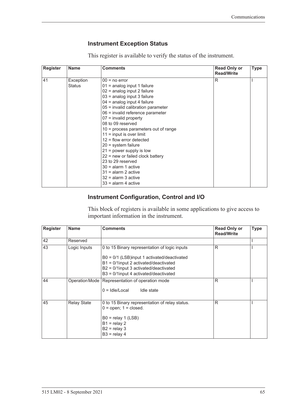### <span id="page-74-0"></span>**Instrument Exception Status**

This register is available to verify the status of the instrument.

| <b>Register</b> | <b>Name</b> | <b>Comments</b>                        | <b>Read Only or</b><br><b>Read/Write</b> | <b>Type</b> |
|-----------------|-------------|----------------------------------------|------------------------------------------|-------------|
| 41              | Exception   | $00 = no error$                        | R                                        |             |
|                 | Status      | 01 = analog input 1 failure            |                                          |             |
|                 |             | 02 = analog input 2 failure            |                                          |             |
|                 |             | 03 = analog input 3 failure            |                                          |             |
|                 |             | $04$ = analog input 4 failure          |                                          |             |
|                 |             | 05 = invalid calibration parameter     |                                          |             |
|                 |             | 06 = invalid reference parameter       |                                          |             |
|                 |             | $07$ = invalid property                |                                          |             |
|                 |             | 08 to 09 reserved                      |                                          |             |
|                 |             | $10$ = process parameters out of range |                                          |             |
|                 |             | $11 =$ input is over limit             |                                          |             |
|                 |             | $12$ = flow error detected             |                                          |             |
|                 |             | $20 =$ system failure                  |                                          |             |
|                 |             | $21$ = power supply is low             |                                          |             |
|                 |             | $22$ = new or failed clock battery     |                                          |             |
|                 |             | 23 to 29 reserved                      |                                          |             |
|                 |             | $30 =$ alarm 1 active                  |                                          |             |
|                 |             | $31$ = alarm 2 active                  |                                          |             |
|                 |             | $32$ = alarm 3 active                  |                                          |             |
|                 |             | $33$ = alarm 4 active                  |                                          |             |

### **Instrument Configuration, Control and I/O**

This block of registers is available in some applications to give access to important information in the instrument.

| <b>Register</b> | <b>Name</b>        | <b>Comments</b>                                                             | <b>Read Only or</b><br><b>Read/Write</b> | Type |
|-----------------|--------------------|-----------------------------------------------------------------------------|------------------------------------------|------|
| 42              | Reserved           |                                                                             |                                          |      |
| 43              | Logic Inputs       | 0 to 15 Binary representation of logic inputs                               | R                                        |      |
|                 |                    | B0 = 0/1 (LSB)input 1 activated/deactivated                                 |                                          |      |
|                 |                    | $B1 = 0/1$ input 2 activated/deactivated                                    |                                          |      |
|                 |                    | $B2 = 0/1$ input 3 activated/deactivated                                    |                                          |      |
|                 |                    | B3 = 0/1input 4 activated/deactivated                                       |                                          |      |
| 44              |                    | Operation Mode   Representation of operation mode                           | R                                        |      |
|                 |                    | $0 =$ Idle/Local<br>Idle state                                              |                                          |      |
| 45              | <b>Relay State</b> | 0 to 15 Binary representation of relay status.<br>$0 =$ open; $1 =$ closed. | R                                        |      |
|                 |                    | $B0 =$ relay 1 (LSB)<br>$B1 =$ relay 2<br>$B2 =$ relay 3<br>$B3 =$ relay 4  |                                          |      |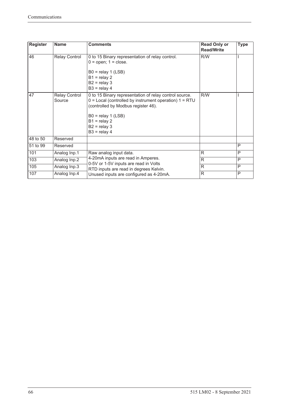| <b>Register</b> | <b>Name</b>             | <b>Comments</b>                                                                                                                                                                                                                           | <b>Read Only or</b><br><b>Read/Write</b> | <b>Type</b> |
|-----------------|-------------------------|-------------------------------------------------------------------------------------------------------------------------------------------------------------------------------------------------------------------------------------------|------------------------------------------|-------------|
| 46              | <b>Relay Control</b>    | 0 to 15 Binary representation of relay control.<br>$0 =$ open; $1 =$ close.<br>$B0 =$ relay 1 (LSB)<br>$B1 =$ relay 2<br>$B2 =$ relay 3<br>$B3 =$ relay 4                                                                                 | R/W                                      |             |
| 47              | Relay Control<br>Source | 0 to 15 Binary representation of relay control source.<br>$0 =$ Local (controlled by instrument operation) $1 = RTU$<br>(controlled by Modbus register 46).<br>$B0 =$ relay 1 (LSB)<br>$B1 =$ relay 2<br>$B2 =$ relay 3<br>$B3 =$ relay 4 | R/W                                      |             |
| 48 to 50        | Reserved                |                                                                                                                                                                                                                                           |                                          |             |
| 51 to 99        | Reserved                |                                                                                                                                                                                                                                           |                                          | P           |
| 101             | Analog Inp.1            | Raw analog input data.                                                                                                                                                                                                                    | R                                        | P           |
| 103             | Analog Inp.2            | 4-20mA inputs are read in Amperes.                                                                                                                                                                                                        | R                                        | P           |
| 105             | Analog Inp.3            | 0-5V or 1-5V inputs are read in Volts<br>RTD inputs are read in degrees Kelvin.                                                                                                                                                           | R                                        | P           |
| 107             | Analog Inp.4            | Unused inputs are configured as 4-20mA.                                                                                                                                                                                                   | R                                        | P           |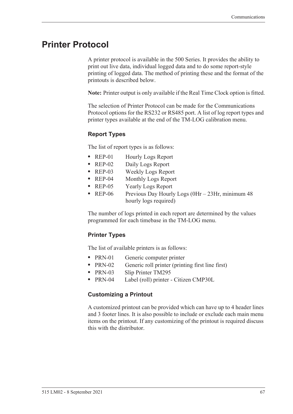## **Printer Protocol**

<span id="page-76-1"></span>A printer protocol is available in the 500 Series. It provides the ability to print out live data, individual logged data and to do some report-style printing of logged data. The method of printing these and the format of the printouts is described below.

**Note:** Printer output is only available if the Real Time Clock option is fitted.

The selection of Printer Protocol can be made for the Communications Protocol options for the RS232 or RS485 port. A list of log report types and printer types available at the end of the TM-LOG calibration menu.

### <span id="page-76-2"></span>**Report Types**

The list of report types is as follows:

- REP-01 Hourly Logs Report
- **•** REP-02 Daily Logs Report
- **•** REP-03 Weekly Logs Report
- **•** REP-04 Monthly Logs Report
- **•** REP-05 Yearly Logs Report
- REP-06 Previous Day Hourly Logs (0Hr 23Hr, minimum 48 hourly logs required)

The number of logs printed in each report are determined by the values programmed for each timebase in the TM-LOG menu.

### <span id="page-76-3"></span>**Printer Types**

The list of available printers is as follows:

- PRN-01 Generic computer printer
- **•** PRN-02 Generic roll printer (printing first line first)
- **•** PRN-03 Slip Printer TM295
- **•** PRN-04 Label (roll) printer Citizen CMP30L

### <span id="page-76-0"></span>**Customizing a Printout**

A customized printout can be provided which can have up to 4 header lines and 3 footer lines. It is also possible to include or exclude each main menu items on the printout. If any customizing of the printout is required discuss this with the distributor.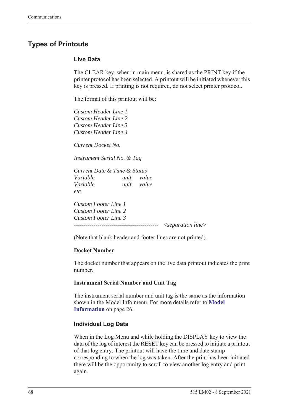### <span id="page-77-2"></span>**Types of Printouts**

### <span id="page-77-1"></span>**Live Data**

The CLEAR key, when in main menu, is shared as the PRINT key if the printer protocol has been selected. A printout will be initiated whenever this key is pressed. If printing is not required, do not select printer protocol.

The format of this printout will be:

*Custom Header Line 1 Custom Header Line 2 Custom Header Line 3 Custom Header Line 4*

*Current Docket No.* 

*Instrument Serial No. & Tag*

*Current Date & Time & Status Variable unit value Variable unit value etc.*

*Custom Footer Line 1 Custom Footer Line 2 Custom Footer Line 3 ------------------------------------------- <separation line>*

(Note that blank header and footer lines are not printed).

#### **Docket Number**

The docket number that appears on the live data printout indicates the print number.

#### **Instrument Serial Number and Unit Tag**

The instrument serial number and unit tag is the same as the information shown in the Model Info menu. For more details refer to **[Model](#page-35-0)  [Information](#page-35-0)** on page 26.

### <span id="page-77-0"></span>**Individual Log Data**

When in the Log Menu and while holding the DISPLAY key to view the data of the log of interest the RESET key can be pressed to initiate a printout of that log entry. The printout will have the time and date stamp corresponding to when the log was taken. After the print has been initiated there will be the opportunity to scroll to view another log entry and print again.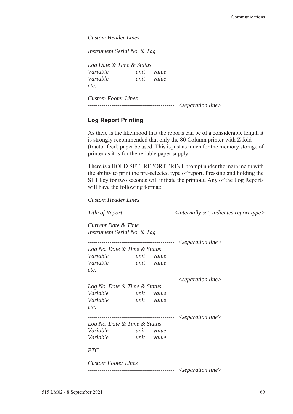*Custom Header Lines*

*Instrument Serial No. & Tag*

*Log Date & Time & Status Variable unit value Variable unit value etc.*

*Custom Footer Lines* 

*-------------------------------------------- <separation line>*

#### <span id="page-78-0"></span>**Log Report Printing**

As there is the likelihood that the reports can be of a considerable length it is strongly recommended that only the 80 Column printer with Z fold (tractor feed) paper be used. This is just as much for the memory storage of printer as it is for the reliable paper supply.

There is a HOLD.SET REPORT PRINT prompt under the main menu with the ability to print the pre-selected type of report. Pressing and holding the SET key for two seconds will initiate the printout. Any of the Log Reports will have the following format:

*Custom Header Lines*

| Title of Report                                    |  | $\langle$ internally set, indicates report type $\rangle$ |
|----------------------------------------------------|--|-----------------------------------------------------------|
| Current Date & Time<br>Instrument Serial No. & Tag |  |                                                           |
| Log No. Date & Time & Status                       |  |                                                           |
| Variable unit value                                |  |                                                           |
| Variable unit value<br>etc.                        |  |                                                           |
|                                                    |  |                                                           |
| Log No. Date & Time & Status                       |  |                                                           |
| Variable unit value                                |  |                                                           |
| Variable unit value                                |  |                                                           |
| etc.                                               |  |                                                           |
|                                                    |  |                                                           |
| Log No. Date & Time & Status                       |  |                                                           |
| Variable unit value                                |  |                                                           |
| Variable unit value                                |  |                                                           |
| <b>ETC</b>                                         |  |                                                           |
| Custom Footer Lines                                |  |                                                           |

*Custom Footer Lines -------------------------------------------- <separation line>*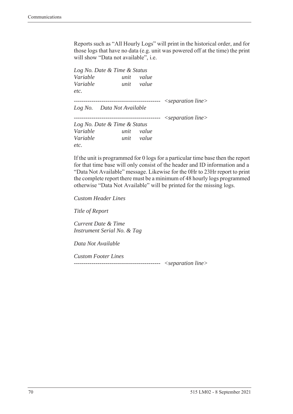Reports such as "All Hourly Logs" will print in the historical order, and for those logs that have no data (e.g. unit was powered off at the time) the print will show "Data not available", i.e.

*Log No. Date & Time & Status Variable unit value Variable unit value etc. -------------------------------------------- <separation line> Log No. Data Not Available -------------------------------------------- <separation line> Log No. Date & Time & Status Variable unit value Variable unit value etc.*

If the unit is programmed for 0 logs for a particular time base then the report for that time base will only consist of the header and ID information and a "Data Not Available" message. Likewise for the 0Hr to 23Hr report to print the complete report there must be a minimum of 48 hourly logs programmed otherwise "Data Not Available" will be printed for the missing logs.

*Custom Header Lines*

*Title of Report*

*Current Date & Time Instrument Serial No. & Tag*

*Data Not Available*

*Custom Footer Lines* 

*-------------------------------------------- <separation line>*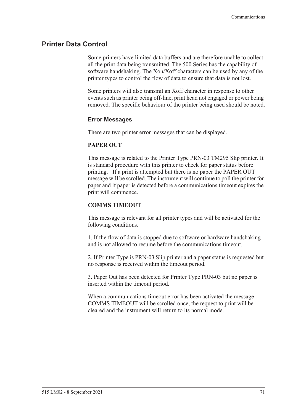### <span id="page-80-0"></span>**Printer Data Control**

Some printers have limited data buffers and are therefore unable to collect all the print data being transmitted. The 500 Series has the capability of software handshaking. The Xon/Xoff characters can be used by any of the printer types to control the flow of data to ensure that data is not lost.

Some printers will also transmit an Xoff character in response to other events such as printer being off-line, print head not engaged or power being removed. The specific behaviour of the printer being used should be noted.

#### <span id="page-80-1"></span>**Error Messages**

There are two printer error messages that can be displayed.

#### **PAPER OUT**

This message is related to the Printer Type PRN-03 TM295 Slip printer. It is standard procedure with this printer to check for paper status before printing. If a print is attempted but there is no paper the PAPER OUT message will be scrolled. The instrument will continue to poll the printer for paper and if paper is detected before a communications timeout expires the print will commence.

#### **COMMS TIMEOUT**

This message is relevant for all printer types and will be activated for the following conditions.

1. If the flow of data is stopped due to software or hardware handshaking and is not allowed to resume before the communications timeout.

2. If Printer Type is PRN-03 Slip printer and a paper status is requested but no response is received within the timeout period.

3. Paper Out has been detected for Printer Type PRN-03 but no paper is inserted within the timeout period.

When a communications timeout error has been activated the message COMMS TIMEOUT will be scrolled once, the request to print will be cleared and the instrument will return to its normal mode.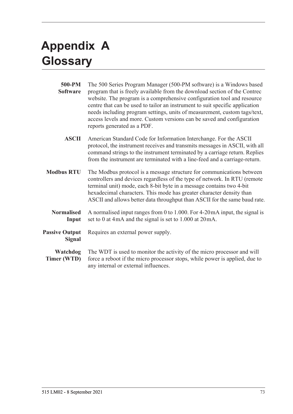# <span id="page-82-1"></span>**Appendix A Glossary**

<span id="page-82-0"></span>

| <b>500-PM</b><br><b>Software</b>       | The 500 Series Program Manager (500-PM software) is a Windows based<br>program that is freely available from the download section of the Contrec<br>website. The program is a comprehensive configuration tool and resource<br>centre that can be used to tailor an instrument to suit specific application<br>needs including program settings, units of measurement, custom tags/text,<br>access levels and more. Custom versions can be saved and configuration<br>reports generated as a PDF. |
|----------------------------------------|---------------------------------------------------------------------------------------------------------------------------------------------------------------------------------------------------------------------------------------------------------------------------------------------------------------------------------------------------------------------------------------------------------------------------------------------------------------------------------------------------|
| <b>ASCII</b>                           | American Standard Code for Information Interchange. For the ASCII<br>protocol, the instrument receives and transmits messages in ASCII, with all<br>command strings to the instrument terminated by a carriage return. Replies<br>from the instrument are terminated with a line-feed and a carriage-return.                                                                                                                                                                                      |
| <b>Modbus RTU</b>                      | The Modbus protocol is a message structure for communications between<br>controllers and devices regardless of the type of network. In RTU (remote<br>terminal unit) mode, each 8-bit byte in a message contains two 4-bit<br>hexadecimal characters. This mode has greater character density than<br>ASCII and allows better data throughput than ASCII for the same baud rate.                                                                                                                  |
| <b>Normalised</b><br>Input             | A normalised input ranges from 0 to 1.000. For 4-20 mA input, the signal is<br>set to 0 at 4mA and the signal is set to 1.000 at 20mA.                                                                                                                                                                                                                                                                                                                                                            |
| <b>Passive Output</b><br><b>Signal</b> | Requires an external power supply.                                                                                                                                                                                                                                                                                                                                                                                                                                                                |
| Watchdog<br>Timer (WTD)                | The WDT is used to monitor the activity of the micro processor and will<br>force a reboot if the micro processor stops, while power is applied, due to<br>any internal or external influences.                                                                                                                                                                                                                                                                                                    |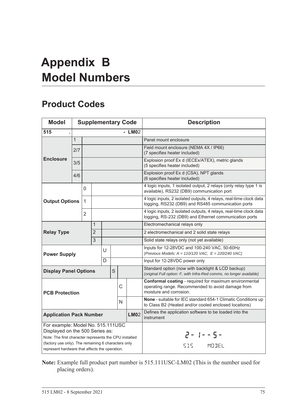# <span id="page-84-1"></span>**Appendix B Model Numbers**

## <span id="page-84-0"></span>**Product Codes**

| <b>Model</b>                                                                                                                                                                                                                            | <b>Supplementary Code</b> |              |                |   |                                                                                                                                        |                                                                                                                              |                                                                                                                          | <b>Description</b>                                                                                                        |  |  |
|-----------------------------------------------------------------------------------------------------------------------------------------------------------------------------------------------------------------------------------------|---------------------------|--------------|----------------|---|----------------------------------------------------------------------------------------------------------------------------------------|------------------------------------------------------------------------------------------------------------------------------|--------------------------------------------------------------------------------------------------------------------------|---------------------------------------------------------------------------------------------------------------------------|--|--|
| 515                                                                                                                                                                                                                                     |                           |              |                |   |                                                                                                                                        |                                                                                                                              | $-LM02$                                                                                                                  |                                                                                                                           |  |  |
|                                                                                                                                                                                                                                         | $\mathbf{1}$              |              |                |   |                                                                                                                                        |                                                                                                                              |                                                                                                                          | Panel mount enclosure                                                                                                     |  |  |
|                                                                                                                                                                                                                                         | 2/7                       |              |                |   |                                                                                                                                        |                                                                                                                              |                                                                                                                          | Field mount enclosure (NEMA 4X / IP66)<br>(7 specifies heater included)                                                   |  |  |
| <b>Enclosure</b>                                                                                                                                                                                                                        | 3/5                       |              |                |   |                                                                                                                                        |                                                                                                                              |                                                                                                                          | Explosion proof Ex d (IECEx/ATEX), metric glands<br>(5 specifies heater included)                                         |  |  |
|                                                                                                                                                                                                                                         | 4/6                       |              |                |   |                                                                                                                                        |                                                                                                                              |                                                                                                                          | Explosion proof Ex d (CSA), NPT glands<br>(6 specifies heater included)                                                   |  |  |
|                                                                                                                                                                                                                                         |                           | 0            |                |   |                                                                                                                                        |                                                                                                                              |                                                                                                                          | 4 logic inputs, 1 isolated output, 2 relays (only relay type 1 is<br>available), RS232 (DB9) communication port           |  |  |
| <b>Output Options</b>                                                                                                                                                                                                                   |                           | $\mathbf{1}$ |                |   |                                                                                                                                        |                                                                                                                              | 4 logic inputs, 2 isolated outputs, 4 relays, real-time clock data<br>logging, RS232 (DB9) and RS485 communication ports |                                                                                                                           |  |  |
| $\overline{2}$                                                                                                                                                                                                                          |                           |              |                |   |                                                                                                                                        | 4 logic inputs, 2 isolated outputs, 4 relays, real-time clock data<br>logging, RS-232 (DB9) and Ethernet communication ports |                                                                                                                          |                                                                                                                           |  |  |
|                                                                                                                                                                                                                                         |                           |              | $\mathbf{1}$   |   |                                                                                                                                        |                                                                                                                              |                                                                                                                          | Electromechanical relays only                                                                                             |  |  |
| <b>Relay Type</b>                                                                                                                                                                                                                       |                           |              | $\overline{2}$ |   |                                                                                                                                        |                                                                                                                              |                                                                                                                          | 2 electromechanical and 2 solid state relays                                                                              |  |  |
|                                                                                                                                                                                                                                         |                           |              | $\overline{3}$ |   |                                                                                                                                        |                                                                                                                              |                                                                                                                          | Solid state relays only (not yet available)                                                                               |  |  |
| <b>Power Supply</b>                                                                                                                                                                                                                     |                           |              |                | U |                                                                                                                                        |                                                                                                                              |                                                                                                                          | Inputs for 12-28VDC and 100-240 VAC, 50-60Hz<br>(Previous Models: $A = 110/120$ VAC, $E = 220/240$ VAC)                   |  |  |
|                                                                                                                                                                                                                                         |                           |              |                | D |                                                                                                                                        |                                                                                                                              |                                                                                                                          | Input for 12-28VDC power only                                                                                             |  |  |
| <b>Display Panel Options</b>                                                                                                                                                                                                            |                           |              |                |   | S                                                                                                                                      |                                                                                                                              |                                                                                                                          | Standard option (now with backlight & LCD backup)<br>(original Full option: F, with Infra-Red comms, no longer available) |  |  |
| C<br><b>PCB Protection</b>                                                                                                                                                                                                              |                           |              |                |   | Conformal coating - required for maximum environmental<br>operating range. Recommended to avoid damage from<br>moisture and corrosion. |                                                                                                                              |                                                                                                                          |                                                                                                                           |  |  |
| N                                                                                                                                                                                                                                       |                           |              |                |   | None - suitable for IEC standard 654-1 Climatic Conditions up<br>to Class B2 (Heated and/or cooled enclosed locations)                 |                                                                                                                              |                                                                                                                          |                                                                                                                           |  |  |
| <b>LM02</b><br><b>Application Pack Number</b>                                                                                                                                                                                           |                           |              |                |   | Defines the application software to be loaded into the<br>instrument                                                                   |                                                                                                                              |                                                                                                                          |                                                                                                                           |  |  |
| For example: Model No. 515.111USC<br>Displayed on the 500 Series as:<br>Note: The first character represents the CPU installed<br>(factory use only). The remaining 6 characters only<br>represent hardware that affects the operation. |                           |              |                |   | $2 - 1 - - 5 -$<br>MODEL<br>515                                                                                                        |                                                                                                                              |                                                                                                                          |                                                                                                                           |  |  |

**Note:** Example full product part number is 515.111USC-LM02 (This is the number used for placing orders).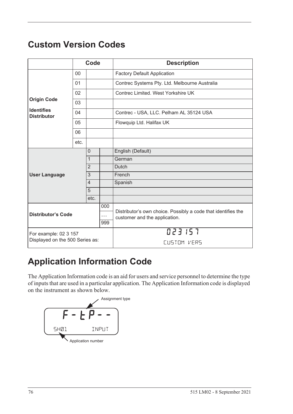# <span id="page-85-1"></span>**Custom Version Codes**

|                                         | Code |                |                               | <b>Description</b>                                            |
|-----------------------------------------|------|----------------|-------------------------------|---------------------------------------------------------------|
|                                         | 00   |                |                               | <b>Factory Default Application</b>                            |
|                                         | 01   |                |                               | Contrec Systems Pty. Ltd. Melbourne Australia                 |
|                                         | 02   |                |                               | Contrec Limited. West Yorkshire UK                            |
| <b>Origin Code</b>                      | 03   |                |                               |                                                               |
| <b>Identifies</b><br><b>Distributor</b> | 04   |                |                               | Contrec - USA, LLC. Pelham AL 35124 USA                       |
|                                         | 05   |                |                               | Flowquip Ltd. Halifax UK                                      |
|                                         | 06   |                |                               |                                                               |
|                                         | etc. |                |                               |                                                               |
|                                         |      | $\Omega$       |                               | English (Default)                                             |
|                                         |      | $\overline{1}$ |                               | German                                                        |
|                                         |      | $\overline{2}$ |                               | Dutch                                                         |
| <b>User Language</b>                    |      | 3              |                               | French                                                        |
|                                         |      | $\overline{4}$ |                               | Spanish                                                       |
|                                         |      | $\overline{5}$ |                               |                                                               |
|                                         |      | etc.           |                               |                                                               |
|                                         | 000  |                |                               | Distributor's own choice. Possibly a code that identifies the |
| <b>Distributor's Code</b><br>$\cdots$   |      |                | customer and the application. |                                                               |
|                                         |      |                | 999                           |                                                               |
| For example: 02 3 157                   |      |                |                               | 023157                                                        |
| Displayed on the 500 Series as:         |      |                |                               | CUSTOM VERS                                                   |

# **Application Information Code**

The Application Information code is an aid for users and service personnel to determine the type of inputs that are used in a particular application. The Application Information code is displayed on the instrument as shown below.

<span id="page-85-0"></span>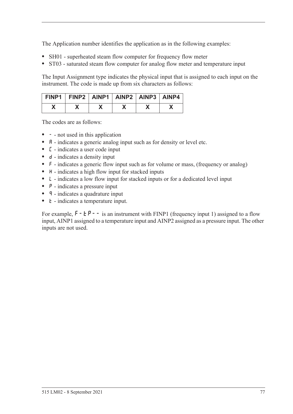The Application number identifies the application as in the following examples:

- **•** SH01 superheated steam flow computer for frequency flow meter
- **•** ST03 saturated steam flow computer for analog flow meter and temperature input

The Input Assignment type indicates the physical input that is assigned to each input on the instrument. The code is made up from six characters as follows:

| FINP1   FINP2   AINP1   AINP2   AINP3   AINP4 |  |  |  |
|-----------------------------------------------|--|--|--|
|                                               |  |  |  |

The codes are as follows:

- - not used in this application
- **A** indicates a generic analog input such as for density or level etc.
- **•** C indicates a user code input
- d indicates a density input
- **•** F indicates a generic flow input such as for volume or mass, (frequency or analog)
- H indicates a high flow input for stacked inputs
- **•** L indicates a low flow input for stacked inputs or for a dedicated level input
- **•** P indicates a pressure input
- **q** indicates a quadrature input
- **t** indicates a temperature input.

For example,  $F - F - i$  is an instrument with FINP1 (frequency input 1) assigned to a flow input, AINP1 assigned to a temperature input and AINP2 assigned as a pressure input. The other inputs are not used.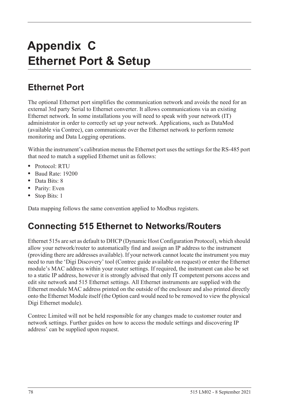# **Appendix C Ethernet Port & Setup**

# **Ethernet Port**

The optional Ethernet port simplifies the communication network and avoids the need for an external 3rd party Serial to Ethernet converter. It allows communications via an existing Ethernet network. In some installations you will need to speak with your network (IT) administrator in order to correctly set up your network. Applications, such as DataMod (available via Contrec), can communicate over the Ethernet network to perform remote monitoring and Data Logging operations.

Within the instrument's calibration menus the Ethernet port uses the settings for the RS-485 port that need to match a supplied Ethernet unit as follows:

- **•** Protocol: RTU
- **•** Baud Rate: 19200
- **•** Data Bits: 8
- **•** Parity: Even
- **•** Stop Bits: 1

Data mapping follows the same convention applied to Modbus registers.

# **Connecting 515 Ethernet to Networks/Routers**

Ethernet 515s are set as default to DHCP (Dynamic Host Configuration Protocol), which should allow your network/router to automatically find and assign an IP address to the instrument (providing there are addresses available). If your network cannot locate the instrument you may need to run the 'Digi Discovery' tool (Contrec guide available on request) or enter the Ethernet module's MAC address within your router settings. If required, the instrument can also be set to a static IP address, however it is strongly advised that only IT competent persons access and edit site network and 515 Ethernet settings. All Ethernet instruments are supplied with the Ethernet module MAC address printed on the outside of the enclosure and also printed directly onto the Ethernet Module itself (the Option card would need to be removed to view the physical Digi Ethernet module).

Contrec Limited will not be held responsible for any changes made to customer router and network settings. Further guides on how to access the module settings and discovering IP address' can be supplied upon request.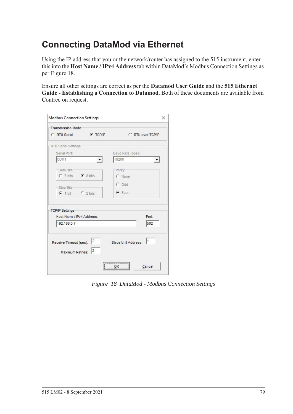# **Connecting DataMod via Ethernet**

Using the IP address that you or the network/router has assigned to the 515 instrument, enter this into the **Host Name / IPv4 Address** tab within DataMod's Modbus Connection Settings as per [Figure 18.](#page-88-0)

Ensure all other settings are correct as per the **Datamod User Guide** and the **515 Ethernet Guide - Establishing a Connection to Datamod**. Both of these documents are available from Contrec on request.

| Transmission Mode-        |                  |                     |                   |
|---------------------------|------------------|---------------------|-------------------|
| C RTU Serial              | <b>CONTINUES</b> |                     | C RTU over TCP/IP |
| -RTU Serial Settings-     |                  |                     |                   |
| Serial Port:              |                  | Baud Rate (bps):    |                   |
| COM1                      |                  | 19200               |                   |
| -Data Bits-               |                  | -Parity-            |                   |
| C 7 bits C 8 bits         |                  | C None              |                   |
|                           |                  | $C$ Odd             |                   |
| -Stop Bits-               |                  |                     |                   |
| $C$ 1 bit $C$ 2 bits      |                  | $G$ Even            |                   |
| <b>TCP/IP Settings</b>    |                  |                     |                   |
| Host Name / IPv4 Address: |                  |                     | Port:             |
| 192.168.0.7               |                  |                     | 502               |
|                           |                  |                     |                   |
|                           |                  |                     |                   |
| Receive Timeout (sec): 2  |                  | Slave Unit Address: | 1                 |
| <b>Maximum Retries:</b>   | 2                |                     |                   |
|                           |                  | ,                   |                   |
|                           |                  | ок                  | Cancel            |

<span id="page-88-0"></span>*Figure 18 DataMod - Modbus Connection Settings*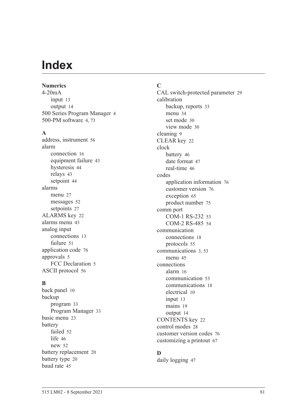# **Index**

**Numerics** 4-20mA input [13](#page-22-0) output [14](#page-23-0) 500 Series Program Manage[r 4](#page-13-0) 500-PM software [4,](#page-13-0) [73](#page-82-0) **A** address, instrumen[t 56](#page-65-0) alarm connection [16](#page-25-0)

equipment failur[e 43](#page-52-0) hysteresi[s 44](#page-53-0) relays [43](#page-52-1) setpoin[t 44](#page-53-1) alarms menu [27](#page-36-0) message[s 52](#page-61-0) setpoints [27](#page-36-1) ALARMS ke[y 22](#page-31-0) alarms menu [43](#page-52-2) analog input connection[s 13](#page-22-1) failur[e 51](#page-60-0) application cod[e 76](#page-85-0) approvals [5](#page-14-0) FCC Declaration [5](#page-14-1) ASCII protoco[l 56](#page-65-1)

### **B**

back panel [10](#page-19-0) backup program [33](#page-42-0) Program Manage[r 33](#page-42-1) basic men[u 23](#page-32-0) battery faile[d 52](#page-61-1) lif[e 46](#page-55-0) ne[w 52](#page-61-1) battery replacemen[t 20](#page-29-0) battery typ[e 20](#page-29-1) baud rat[e 45](#page-54-1)

**C** CAL switch-protected parameter [29](#page-38-0) calibration backup, reports [33](#page-42-0) menu [34](#page-43-0) set mode [30](#page-39-0) view mode [30](#page-39-1) cleaning [9](#page-18-0) CLEAR key [22](#page-31-1) clock batter[y 46](#page-55-0) date format [47](#page-56-0) real-tim[e 46](#page-55-1) codes application information [76](#page-85-0) customer versio[n 76](#page-85-1) exception [65](#page-74-0) product numbe[r 75](#page-84-0) comm port COM-1 RS-232 [53](#page-62-0) COM-2 RS-485 [54](#page-63-0) communication connection[s 18](#page-27-0) protocols [55](#page-64-0) communication[s 3,](#page-12-0) [53](#page-62-1) menu [45](#page-54-2) connections alar[m 16](#page-25-0) communication [53](#page-62-2) communication[s 18](#page-27-0) electrical [10](#page-19-1) input [13](#page-22-2) mains [19](#page-28-0) output [14](#page-23-1) CONTENTS key [22](#page-31-2) control mode[s 28](#page-37-0) customer version codes [76](#page-85-1) customizing a printout [67](#page-76-0)

### **D**

daily logging [47](#page-56-1)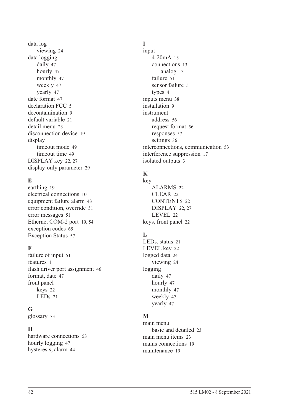data log viewin[g 24](#page-33-0) data logging daily [47](#page-56-1) hourl[y 47](#page-56-2) monthly [47](#page-56-3) weekl[y 47](#page-56-4) yearly [47](#page-56-5) date format [47](#page-56-0) declaration FCC [5](#page-14-1) decontamination [9](#page-18-0) default variable [21](#page-30-0) detail men[u 23](#page-32-0) disconnection device [19](#page-28-1) display timeout mod[e 49](#page-58-0) timeout time [49](#page-58-1) DISPLAY key [22,](#page-31-3) [27](#page-36-2) display-only parameter [29](#page-38-1)

### **E**

earthin[g 19](#page-28-2) electrical connections [10](#page-19-1) equipment failure alarm [43](#page-52-0) error condition, overrid[e 51](#page-60-1) error message[s 51](#page-60-2) Ethernet COM-2 por[t 19,](#page-28-3) [54](#page-63-1) exception codes [65](#page-74-0) Exception Status [57](#page-66-0)

### **F**

failure of input [51](#page-60-0) features [1](#page-10-0) flash driver port assignmen[t 46](#page-55-2) format, date [47](#page-56-0) front panel keys [22](#page-31-4) LEDs [21](#page-30-1)

### **G**

glossary [73](#page-82-1)

### **H**

hardware connections [53](#page-62-2) hourly logging [47](#page-56-2) hysteresis, alar[m 44](#page-53-0)

### **I**

input 4-20mA [13](#page-22-0) connections [13](#page-22-2) analog [13](#page-22-1) failure [51](#page-60-0) sensor failure [51](#page-60-0) types [4](#page-13-1) inputs menu [38](#page-47-0) installation [9](#page-18-1) instrument address [56](#page-65-0) request forma[t 56](#page-65-2) response[s 57](#page-66-1) setting[s 36](#page-45-0) interconnections, communication [53](#page-62-2) interference suppression [17](#page-26-0) isolated output[s 3](#page-12-1)

### **K**

key ALARMS [22](#page-31-0) CLEAR [22](#page-31-1) CONTENT[S 22](#page-31-2) DISPLA[Y 22,](#page-31-3) [27](#page-36-2) LEVEL [22](#page-31-5) keys, front panel [22](#page-31-4)

### **L**

LEDs, status [21](#page-30-1) LEVEL key [22](#page-31-5) logged dat[a 24](#page-33-0) viewin[g 24](#page-33-1) logging daily [47](#page-56-1) hourly [47](#page-56-2) monthly [47](#page-56-3) weekl[y 47](#page-56-4) yearly [47](#page-56-5)

### **M**

main menu basic and detailed [23](#page-32-0) main menu item[s 23](#page-32-1) mains connections [19](#page-28-0) maintenanc[e 19](#page-28-4)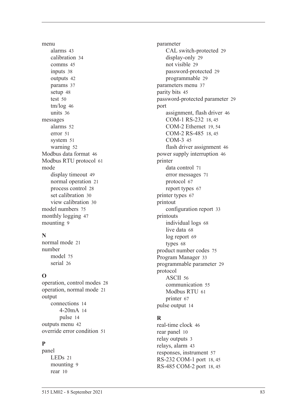menu alarm[s 43](#page-52-2) calibratio[n 34](#page-43-0) comms [45](#page-54-2) input[s 38](#page-47-0) output[s 42](#page-51-0) params [37](#page-46-0) setu[p 48](#page-57-0) test [50](#page-59-0) tm/lo[g 46](#page-55-3) unit[s 36](#page-45-1) messages alarm[s 52](#page-61-0) erro[r 51](#page-60-2) syste[m 51](#page-60-3) warnin[g 52](#page-61-2) Modbus data forma[t 46](#page-55-4) Modbus RTU protoco[l 61](#page-70-0) mode display timeou[t 49](#page-58-0) normal operatio[n 21](#page-30-2) process contro[l 28](#page-37-0) set calibration [30](#page-39-0) view calibration [30](#page-39-1) model number[s 75](#page-84-1) monthly logging [47](#page-56-3) mountin[g 9](#page-18-2)

### **N**

normal mode [21](#page-30-2) number mode[l 75](#page-84-1) seria[l 26](#page-35-1)

### **O**

operation, control modes [28](#page-37-0) operation, normal mod[e 21](#page-30-2) output connection[s 14](#page-23-1) 4-20m[A 14](#page-23-0) puls[e 14](#page-23-0) outputs men[u 42](#page-51-0) override error condition [51](#page-60-1)

### **P**

panel LED[s 21](#page-30-1) mountin[g 9](#page-18-2) rear [10](#page-19-0)

parameter CAL switch-protected [29](#page-38-0) display-only [29](#page-38-1) not visibl[e 29](#page-38-2) password-protected [29](#page-38-3) programmable [29](#page-38-4) parameters men[u 37](#page-46-0) parity bit[s 45](#page-54-3) password-protected parameter [29](#page-38-3) port assignment, flash driver [46](#page-55-2) COM-1 RS-232 [18,](#page-27-1) [45](#page-54-4) COM-2 Ethernet [19,](#page-28-3) [54](#page-63-1) COM-2 RS-485 [18,](#page-27-2) [45](#page-54-5) COM-[3 45](#page-54-6) flash driver assignment [46](#page-55-2) power supply interruption [46](#page-55-0) printer data control [71](#page-80-0) error messages [71](#page-80-1) protocol [67](#page-76-1) report types [67](#page-76-2) printer type[s 67](#page-76-3) printout configuration repor[t 33](#page-42-2) printouts individual logs [68](#page-77-0) live data [68](#page-77-1) log report [69](#page-78-0) type[s 68](#page-77-2) product number codes [75](#page-84-0) Program Manager [33](#page-42-1) programmable parameter [29](#page-38-4) protocol ASCI[I 56](#page-65-1) communication [55](#page-64-0) Modbus RT[U 61](#page-70-0) printer [67](#page-76-1) pulse output [14](#page-23-0)

## **R**

real-time cloc[k 46](#page-55-1) rear panel [10](#page-19-0) relay output[s 3](#page-12-2) relays, alarm [43](#page-52-1) responses, instrument [57](#page-66-1) RS-232 COM-1 por[t 18,](#page-27-1) [45](#page-54-4) RS-485 COM-2 por[t 18,](#page-27-2) [45](#page-54-5)